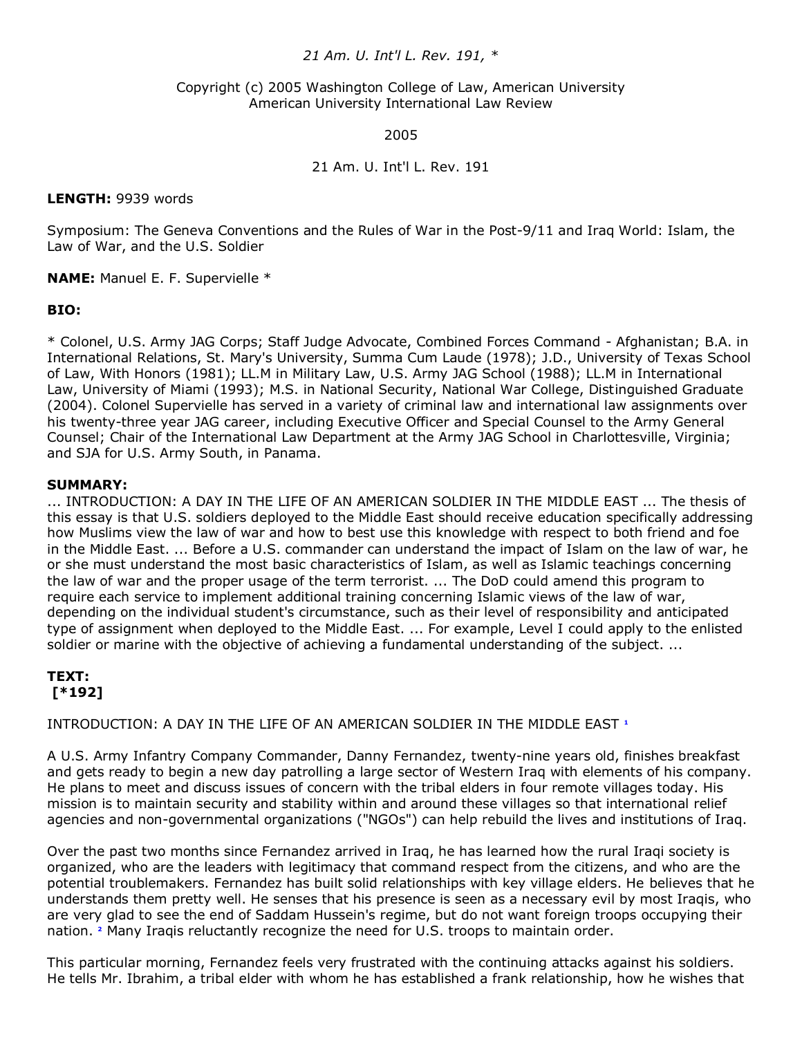## *21 Am. U. Int'l L. Rev. 191, \**

### Copyright (c) 2005 Washington College of Law, American University American University International Law Review

#### 2005

## 21 Am. U. Int'l L. Rev. 191

### **LENGTH:** 9939 words

Symposium: The Geneva Conventions and the Rules of War in the Post-9/11 and Iraq World: Islam, the Law of War, and the U.S. Soldier

**NAME:** Manuel E. F. Supervielle \*

## **BIO:**

\* Colonel, U.S. Army JAG Corps; Staff Judge Advocate, Combined Forces Command - Afghanistan; B.A. in International Relations, St. Mary's University, Summa Cum Laude (1978); J.D., University of Texas School of Law, With Honors (1981); LL.M in Military Law, U.S. Army JAG School (1988); LL.M in International Law, University of Miami (1993); M.S. in National Security, National War College, Distinguished Graduate (2004). Colonel Supervielle has served in a variety of criminal law and international law assignments over his twenty-three year JAG career, including Executive Officer and Special Counsel to the Army General Counsel; Chair of the International Law Department at the Army JAG School in Charlottesville, Virginia; and SJA for U.S. Army South, in Panama.

### **SUMMARY:**

... INTRODUCTION: A DAY IN THE LIFE OF AN AMERICAN SOLDIER IN THE MIDDLE EAST ... The thesis of this essay is that U.S. soldiers deployed to the Middle East should receive education specifically addressing how Muslims view the law of war and how to best use this knowledge with respect to both friend and foe in the Middle East. ... Before a U.S. commander can understand the impact of Islam on the law of war, he or she must understand the most basic characteristics of Islam, as well as Islamic teachings concerning the law of war and the proper usage of the term terrorist. ... The DoD could amend this program to require each service to implement additional training concerning Islamic views of the law of war, depending on the individual student's circumstance, such as their level of responsibility and anticipated type of assignment when deployed to the Middle East. ... For example, Level I could apply to the enlisted soldier or marine with the objective of achieving a fundamental understanding of the subject. ...

# **TEXT: [\*192]**

INTRODUCTION: A DAY IN THE LIFE OF AN AMERICAN SOLDIER IN THE MIDDLE EAST**<sup>1</sup>**

A U.S. Army Infantry Company Commander, Danny Fernandez, twenty-nine years old, finishes breakfast and gets ready to begin a new day patrolling a large sector of Western Iraq with elements of his company. He plans to meet and discuss issues of concern with the tribal elders in four remote villages today. His mission is to maintain security and stability within and around these villages so that international relief agencies and non-governmental organizations ("NGOs") can help rebuild the lives and institutions of Iraq.

Over the past two months since Fernandez arrived in Iraq, he has learned how the rural Iraqi society is organized, who are the leaders with legitimacy that command respect from the citizens, and who are the potential troublemakers. Fernandez has built solid relationships with key village elders. He believes that he understands them pretty well. He senses that his presence is seen as a necessary evil by most Iraqis, who are very glad to see the end of Saddam Hussein's regime, but do not want foreign troops occupying their nation.**<sup>2</sup>** Many Iraqis reluctantly recognize the need for U.S. troops to maintain order.

This particular morning, Fernandez feels very frustrated with the continuing attacks against his soldiers. He tells Mr. Ibrahim, a tribal elder with whom he has established a frank relationship, how he wishes that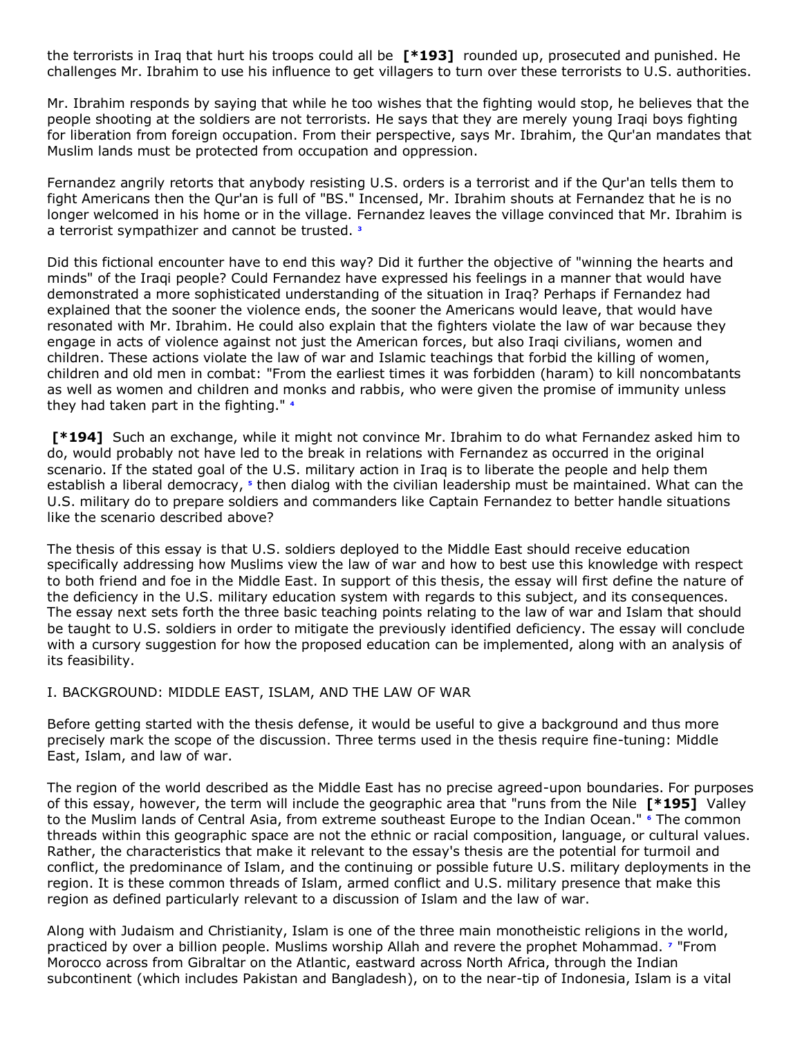the terrorists in Iraq that hurt his troops could all be **[\*193]** rounded up, prosecuted and punished. He challenges Mr. Ibrahim to use his influence to get villagers to turn over these terrorists to U.S. authorities.

Mr. Ibrahim responds by saying that while he too wishes that the fighting would stop, he believes that the people shooting at the soldiers are not terrorists. He says that they are merely young Iraqi boys fighting for liberation from foreign occupation. From their perspective, says Mr. Ibrahim, the Qur'an mandates that Muslim lands must be protected from occupation and oppression.

Fernandez angrily retorts that anybody resisting U.S. orders is a terrorist and if the Qur'an tells them to fight Americans then the Qur'an is full of "BS." Incensed, Mr. Ibrahim shouts at Fernandez that he is no longer welcomed in his home or in the village. Fernandez leaves the village convinced that Mr. Ibrahim is a terrorist sympathizer and cannot be trusted.**<sup>3</sup>**

Did this fictional encounter have to end this way? Did it further the objective of "winning the hearts and minds" of the Iraqi people? Could Fernandez have expressed his feelings in a manner that would have demonstrated a more sophisticated understanding of the situation in Iraq? Perhaps if Fernandez had explained that the sooner the violence ends, the sooner the Americans would leave, that would have resonated with Mr. Ibrahim. He could also explain that the fighters violate the law of war because they engage in acts of violence against not just the American forces, but also Iraqi civilians, women and children. These actions violate the law of war and Islamic teachings that forbid the killing of women, children and old men in combat: "From the earliest times it was forbidden (haram) to kill noncombatants as well as women and children and monks and rabbis, who were given the promise of immunity unless they had taken part in the fighting."**<sup>4</sup>**

**[\*194]** Such an exchange, while it might not convince Mr. Ibrahim to do what Fernandez asked him to do, would probably not have led to the break in relations with Fernandez as occurred in the original scenario. If the stated goal of the U.S. military action in Iraq is to liberate the people and help them establish a liberal democracy,**<sup>5</sup>** then dialog with the civilian leadership must be maintained. What can the U.S. military do to prepare soldiers and commanders like Captain Fernandez to better handle situations like the scenario described above?

The thesis of this essay is that U.S. soldiers deployed to the Middle East should receive education specifically addressing how Muslims view the law of war and how to best use this knowledge with respect to both friend and foe in the Middle East. In support of this thesis, the essay will first define the nature of the deficiency in the U.S. military education system with regards to this subject, and its consequences. The essay next sets forth the three basic teaching points relating to the law of war and Islam that should be taught to U.S. soldiers in order to mitigate the previously identified deficiency. The essay will conclude with a cursory suggestion for how the proposed education can be implemented, along with an analysis of its feasibility.

## I. BACKGROUND: MIDDLE EAST, ISLAM, AND THE LAW OF WAR

Before getting started with the thesis defense, it would be useful to give a background and thus more precisely mark the scope of the discussion. Three terms used in the thesis require fine-tuning: Middle East, Islam, and law of war.

The region of the world described as the Middle East has no precise agreed-upon boundaries. For purposes of this essay, however, the term will include the geographic area that "runs from the Nile **[\*195]** Valley to the Muslim lands of Central Asia, from extreme southeast Europe to the Indian Ocean."**<sup>6</sup>** The common threads within this geographic space are not the ethnic or racial composition, language, or cultural values. Rather, the characteristics that make it relevant to the essay's thesis are the potential for turmoil and conflict, the predominance of Islam, and the continuing or possible future U.S. military deployments in the region. It is these common threads of Islam, armed conflict and U.S. military presence that make this region as defined particularly relevant to a discussion of Islam and the law of war.

Along with Judaism and Christianity, Islam is one of the three main monotheistic religions in the world, practiced by over a billion people. Muslims worship Allah and revere the prophet Mohammad.**<sup>7</sup>** "From Morocco across from Gibraltar on the Atlantic, eastward across North Africa, through the Indian subcontinent (which includes Pakistan and Bangladesh), on to the near-tip of Indonesia, Islam is a vital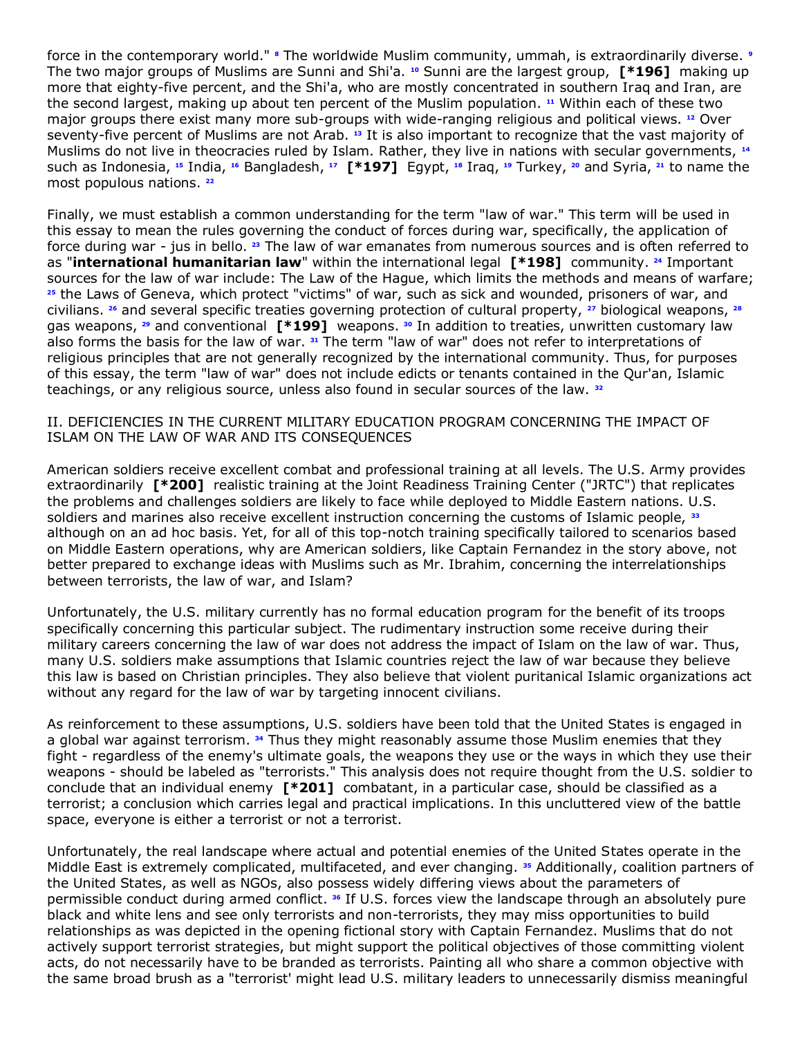force in the contemporary world."**<sup>8</sup>** The worldwide Muslim community, ummah, is extraordinarily diverse.**<sup>9</sup>** The two major groups of Muslims are Sunni and Shi'a. **[10](http://www.lexis.com/research/retrieve?_m=47973e549231c520dbe09e2cd0971a2c&docnum=11&_fmtstr=FULL&_startdoc=1&wchp=dGLbVzz-zSkAA&_md5=0f232df1e532c2bc94176067a855cfb4&focBudTerms=&focBudSel=all#n10#n10)** Sunni are the largest group, **[\*196]** making up more that eighty-five percent, and the Shi'a, who are mostly concentrated in southern Iraq and Iran, are the second largest, making up about ten percent of the Muslim population. **[11](http://www.lexis.com/research/retrieve?_m=47973e549231c520dbe09e2cd0971a2c&docnum=11&_fmtstr=FULL&_startdoc=1&wchp=dGLbVzz-zSkAA&_md5=0f232df1e532c2bc94176067a855cfb4&focBudTerms=&focBudSel=all#n11#n11)** Within each of these two major groups there exist many more sub-groups with wide-ranging religious and political views. **[12](http://www.lexis.com/research/retrieve?_m=47973e549231c520dbe09e2cd0971a2c&docnum=11&_fmtstr=FULL&_startdoc=1&wchp=dGLbVzz-zSkAA&_md5=0f232df1e532c2bc94176067a855cfb4&focBudTerms=&focBudSel=all#n12#n12)** Over seventy-five percent of Muslims are not Arab. **[13](http://www.lexis.com/research/retrieve?_m=47973e549231c520dbe09e2cd0971a2c&docnum=11&_fmtstr=FULL&_startdoc=1&wchp=dGLbVzz-zSkAA&_md5=0f232df1e532c2bc94176067a855cfb4&focBudTerms=&focBudSel=all#n13#n13)** It is also important to recognize that the vast majority of Muslims do not live in theocracies ruled by Islam. Rather, they live in nations with secular governments, **[14](http://www.lexis.com/research/retrieve?_m=47973e549231c520dbe09e2cd0971a2c&docnum=11&_fmtstr=FULL&_startdoc=1&wchp=dGLbVzz-zSkAA&_md5=0f232df1e532c2bc94176067a855cfb4&focBudTerms=&focBudSel=all#n14#n14)** such as Indonesia, **[15](http://www.lexis.com/research/retrieve?_m=47973e549231c520dbe09e2cd0971a2c&docnum=11&_fmtstr=FULL&_startdoc=1&wchp=dGLbVzz-zSkAA&_md5=0f232df1e532c2bc94176067a855cfb4&focBudTerms=&focBudSel=all#n15#n15)** India, **[16](http://www.lexis.com/research/retrieve?_m=47973e549231c520dbe09e2cd0971a2c&docnum=11&_fmtstr=FULL&_startdoc=1&wchp=dGLbVzz-zSkAA&_md5=0f232df1e532c2bc94176067a855cfb4&focBudTerms=&focBudSel=all#n16#n16)** Bangladesh, **[17](http://www.lexis.com/research/retrieve?_m=47973e549231c520dbe09e2cd0971a2c&docnum=11&_fmtstr=FULL&_startdoc=1&wchp=dGLbVzz-zSkAA&_md5=0f232df1e532c2bc94176067a855cfb4&focBudTerms=&focBudSel=all#n17#n17) [\*197]** Egypt, **[18](http://www.lexis.com/research/retrieve?_m=47973e549231c520dbe09e2cd0971a2c&docnum=11&_fmtstr=FULL&_startdoc=1&wchp=dGLbVzz-zSkAA&_md5=0f232df1e532c2bc94176067a855cfb4&focBudTerms=&focBudSel=all#n18#n18)** Iraq, **[19](http://www.lexis.com/research/retrieve?_m=47973e549231c520dbe09e2cd0971a2c&docnum=11&_fmtstr=FULL&_startdoc=1&wchp=dGLbVzz-zSkAA&_md5=0f232df1e532c2bc94176067a855cfb4&focBudTerms=&focBudSel=all#n19#n19)** Turkey, **[20](http://www.lexis.com/research/retrieve?_m=47973e549231c520dbe09e2cd0971a2c&docnum=11&_fmtstr=FULL&_startdoc=1&wchp=dGLbVzz-zSkAA&_md5=0f232df1e532c2bc94176067a855cfb4&focBudTerms=&focBudSel=all#n20#n20)** and Syria, **[21](http://www.lexis.com/research/retrieve?_m=47973e549231c520dbe09e2cd0971a2c&docnum=11&_fmtstr=FULL&_startdoc=1&wchp=dGLbVzz-zSkAA&_md5=0f232df1e532c2bc94176067a855cfb4&focBudTerms=&focBudSel=all#n21#n21)** to name the most populous nations. **[22](http://www.lexis.com/research/retrieve?_m=47973e549231c520dbe09e2cd0971a2c&docnum=11&_fmtstr=FULL&_startdoc=1&wchp=dGLbVzz-zSkAA&_md5=0f232df1e532c2bc94176067a855cfb4&focBudTerms=&focBudSel=all#n22#n22)**

Finally, we must establish a common understanding for the term "law of war." This term will be used in this essay to mean the rules governing the conduct of forces during war, specifically, the application of force during war - jus in bello. **[23](http://www.lexis.com/research/retrieve?_m=47973e549231c520dbe09e2cd0971a2c&docnum=11&_fmtstr=FULL&_startdoc=1&wchp=dGLbVzz-zSkAA&_md5=0f232df1e532c2bc94176067a855cfb4&focBudTerms=&focBudSel=all#n23#n23)** The law of war emanates from numerous sources and is often referred to as "**international humanitarian law**" within the international legal **[\*198]** community. **[24](http://www.lexis.com/research/retrieve?_m=47973e549231c520dbe09e2cd0971a2c&docnum=11&_fmtstr=FULL&_startdoc=1&wchp=dGLbVzz-zSkAA&_md5=0f232df1e532c2bc94176067a855cfb4&focBudTerms=&focBudSel=all#n24#n24)** Important sources for the law of war include: The Law of the Hague, which limits the methods and means of warfare; **[25](http://www.lexis.com/research/retrieve?_m=47973e549231c520dbe09e2cd0971a2c&docnum=11&_fmtstr=FULL&_startdoc=1&wchp=dGLbVzz-zSkAA&_md5=0f232df1e532c2bc94176067a855cfb4&focBudTerms=&focBudSel=all#n25#n25)** the Laws of Geneva, which protect "victims" of war, such as sick and wounded, prisoners of war, and civilians. **[26](http://www.lexis.com/research/retrieve?_m=47973e549231c520dbe09e2cd0971a2c&docnum=11&_fmtstr=FULL&_startdoc=1&wchp=dGLbVzz-zSkAA&_md5=0f232df1e532c2bc94176067a855cfb4&focBudTerms=&focBudSel=all#n26#n26)** and several specific treaties governing protection of cultural property, **[27](http://www.lexis.com/research/retrieve?_m=47973e549231c520dbe09e2cd0971a2c&docnum=11&_fmtstr=FULL&_startdoc=1&wchp=dGLbVzz-zSkAA&_md5=0f232df1e532c2bc94176067a855cfb4&focBudTerms=&focBudSel=all#n27#n27)** biological weapons, **[28](http://www.lexis.com/research/retrieve?_m=47973e549231c520dbe09e2cd0971a2c&docnum=11&_fmtstr=FULL&_startdoc=1&wchp=dGLbVzz-zSkAA&_md5=0f232df1e532c2bc94176067a855cfb4&focBudTerms=&focBudSel=all#n28#n28)** gas weapons, **[29](http://www.lexis.com/research/retrieve?_m=47973e549231c520dbe09e2cd0971a2c&docnum=11&_fmtstr=FULL&_startdoc=1&wchp=dGLbVzz-zSkAA&_md5=0f232df1e532c2bc94176067a855cfb4&focBudTerms=&focBudSel=all#n29#n29)** and conventional **[\*199]** weapons. **[30](http://www.lexis.com/research/retrieve?_m=47973e549231c520dbe09e2cd0971a2c&docnum=11&_fmtstr=FULL&_startdoc=1&wchp=dGLbVzz-zSkAA&_md5=0f232df1e532c2bc94176067a855cfb4&focBudTerms=&focBudSel=all#n30#n30)** In addition to treaties, unwritten customary law also forms the basis for the law of war. **[31](http://www.lexis.com/research/retrieve?_m=47973e549231c520dbe09e2cd0971a2c&docnum=11&_fmtstr=FULL&_startdoc=1&wchp=dGLbVzz-zSkAA&_md5=0f232df1e532c2bc94176067a855cfb4&focBudTerms=&focBudSel=all#n31#n31)** The term "law of war" does not refer to interpretations of religious principles that are not generally recognized by the international community. Thus, for purposes of this essay, the term "law of war" does not include edicts or tenants contained in the Qur'an, Islamic teachings, or any religious source, unless also found in secular sources of the law. **[32](http://www.lexis.com/research/retrieve?_m=47973e549231c520dbe09e2cd0971a2c&docnum=11&_fmtstr=FULL&_startdoc=1&wchp=dGLbVzz-zSkAA&_md5=0f232df1e532c2bc94176067a855cfb4&focBudTerms=&focBudSel=all#n32#n32)**

II. DEFICIENCIES IN THE CURRENT MILITARY EDUCATION PROGRAM CONCERNING THE IMPACT OF ISLAM ON THE LAW OF WAR AND ITS CONSEQUENCES

American soldiers receive excellent combat and professional training at all levels. The U.S. Army provides extraordinarily **[\*200]** realistic training at the Joint Readiness Training Center ("JRTC") that replicates the problems and challenges soldiers are likely to face while deployed to Middle Eastern nations. U.S. soldiers and marines also receive excellent instruction concerning the customs of Islamic people, **[33](http://www.lexis.com/research/retrieve?_m=47973e549231c520dbe09e2cd0971a2c&docnum=11&_fmtstr=FULL&_startdoc=1&wchp=dGLbVzz-zSkAA&_md5=0f232df1e532c2bc94176067a855cfb4&focBudTerms=&focBudSel=all#n33#n33)** although on an ad hoc basis. Yet, for all of this top-notch training specifically tailored to scenarios based on Middle Eastern operations, why are American soldiers, like Captain Fernandez in the story above, not better prepared to exchange ideas with Muslims such as Mr. Ibrahim, concerning the interrelationships between terrorists, the law of war, and Islam?

Unfortunately, the U.S. military currently has no formal education program for the benefit of its troops specifically concerning this particular subject. The rudimentary instruction some receive during their military careers concerning the law of war does not address the impact of Islam on the law of war. Thus, many U.S. soldiers make assumptions that Islamic countries reject the law of war because they believe this law is based on Christian principles. They also believe that violent puritanical Islamic organizations act without any regard for the law of war by targeting innocent civilians.

As reinforcement to these assumptions, U.S. soldiers have been told that the United States is engaged in a global war against terrorism. **[34](http://www.lexis.com/research/retrieve?_m=47973e549231c520dbe09e2cd0971a2c&docnum=11&_fmtstr=FULL&_startdoc=1&wchp=dGLbVzz-zSkAA&_md5=0f232df1e532c2bc94176067a855cfb4&focBudTerms=&focBudSel=all#n34#n34)** Thus they might reasonably assume those Muslim enemies that they fight - regardless of the enemy's ultimate goals, the weapons they use or the ways in which they use their weapons - should be labeled as "terrorists." This analysis does not require thought from the U.S. soldier to conclude that an individual enemy **[\*201]** combatant, in a particular case, should be classified as a terrorist; a conclusion which carries legal and practical implications. In this uncluttered view of the battle space, everyone is either a terrorist or not a terrorist.

Unfortunately, the real landscape where actual and potential enemies of the United States operate in the Middle East is extremely complicated, multifaceted, and ever changing. **[35](http://www.lexis.com/research/retrieve?_m=47973e549231c520dbe09e2cd0971a2c&docnum=11&_fmtstr=FULL&_startdoc=1&wchp=dGLbVzz-zSkAA&_md5=0f232df1e532c2bc94176067a855cfb4&focBudTerms=&focBudSel=all#n35#n35)** Additionally, coalition partners of the United States, as well as NGOs, also possess widely differing views about the parameters of permissible conduct during armed conflict. **[36](http://www.lexis.com/research/retrieve?_m=47973e549231c520dbe09e2cd0971a2c&docnum=11&_fmtstr=FULL&_startdoc=1&wchp=dGLbVzz-zSkAA&_md5=0f232df1e532c2bc94176067a855cfb4&focBudTerms=&focBudSel=all#n36#n36)** If U.S. forces view the landscape through an absolutely pure black and white lens and see only terrorists and non-terrorists, they may miss opportunities to build relationships as was depicted in the opening fictional story with Captain Fernandez. Muslims that do not actively support terrorist strategies, but might support the political objectives of those committing violent acts, do not necessarily have to be branded as terrorists. Painting all who share a common objective with the same broad brush as a "terrorist' might lead U.S. military leaders to unnecessarily dismiss meaningful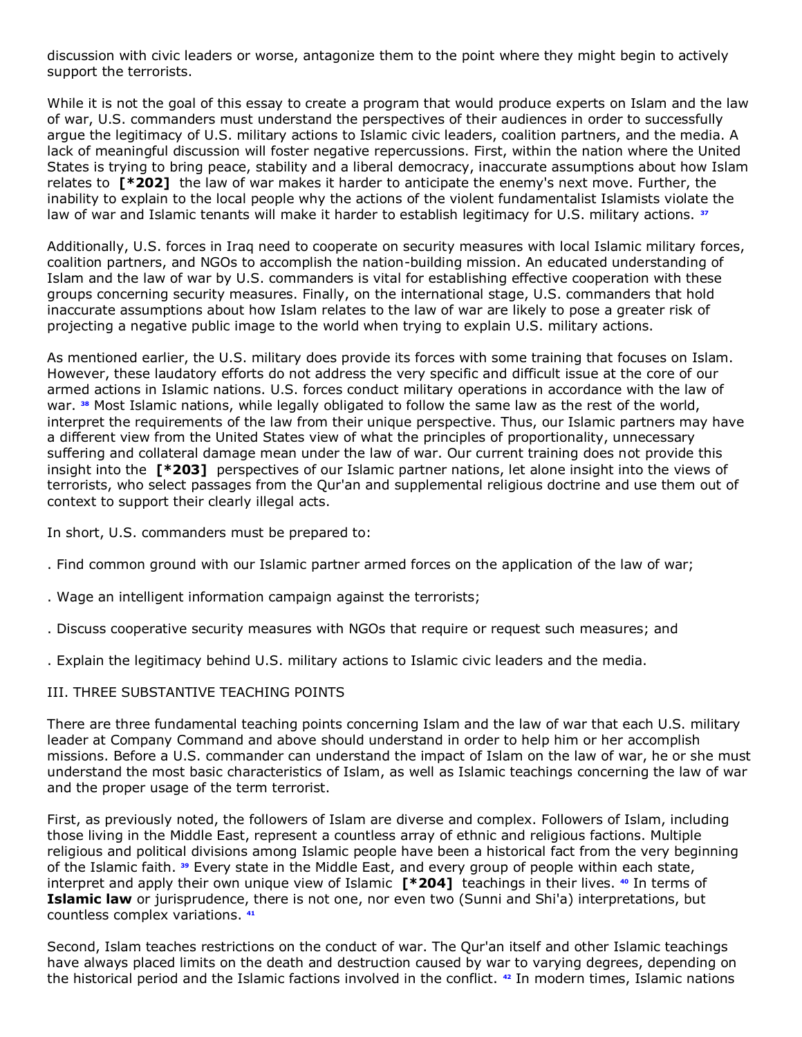discussion with civic leaders or worse, antagonize them to the point where they might begin to actively support the terrorists.

While it is not the goal of this essay to create a program that would produce experts on Islam and the law of war, U.S. commanders must understand the perspectives of their audiences in order to successfully argue the legitimacy of U.S. military actions to Islamic civic leaders, coalition partners, and the media. A lack of meaningful discussion will foster negative repercussions. First, within the nation where the United States is trying to bring peace, stability and a liberal democracy, inaccurate assumptions about how Islam relates to **[\*202]** the law of war makes it harder to anticipate the enemy's next move. Further, the inability to explain to the local people why the actions of the violent fundamentalist Islamists violate the law of war and Islamic tenants will make it harder to establish legitimacy for U.S. military actions. **[37](http://www.lexis.com/research/retrieve?_m=47973e549231c520dbe09e2cd0971a2c&docnum=11&_fmtstr=FULL&_startdoc=1&wchp=dGLbVzz-zSkAA&_md5=0f232df1e532c2bc94176067a855cfb4&focBudTerms=&focBudSel=all#n37#n37)**

Additionally, U.S. forces in Iraq need to cooperate on security measures with local Islamic military forces, coalition partners, and NGOs to accomplish the nation-building mission. An educated understanding of Islam and the law of war by U.S. commanders is vital for establishing effective cooperation with these groups concerning security measures. Finally, on the international stage, U.S. commanders that hold inaccurate assumptions about how Islam relates to the law of war are likely to pose a greater risk of projecting a negative public image to the world when trying to explain U.S. military actions.

As mentioned earlier, the U.S. military does provide its forces with some training that focuses on Islam. However, these laudatory efforts do not address the very specific and difficult issue at the core of our armed actions in Islamic nations. U.S. forces conduct military operations in accordance with the law of war. **[38](http://www.lexis.com/research/retrieve?_m=47973e549231c520dbe09e2cd0971a2c&docnum=11&_fmtstr=FULL&_startdoc=1&wchp=dGLbVzz-zSkAA&_md5=0f232df1e532c2bc94176067a855cfb4&focBudTerms=&focBudSel=all#n38#n38)** Most Islamic nations, while legally obligated to follow the same law as the rest of the world, interpret the requirements of the law from their unique perspective. Thus, our Islamic partners may have a different view from the United States view of what the principles of proportionality, unnecessary suffering and collateral damage mean under the law of war. Our current training does not provide this insight into the **[\*203]** perspectives of our Islamic partner nations, let alone insight into the views of terrorists, who select passages from the Qur'an and supplemental religious doctrine and use them out of context to support their clearly illegal acts.

In short, U.S. commanders must be prepared to:

. Find common ground with our Islamic partner armed forces on the application of the law of war;

- . Wage an intelligent information campaign against the terrorists;
- . Discuss cooperative security measures with NGOs that require or request such measures; and
- . Explain the legitimacy behind U.S. military actions to Islamic civic leaders and the media.

# III. THREE SUBSTANTIVE TEACHING POINTS

There are three fundamental teaching points concerning Islam and the law of war that each U.S. military leader at Company Command and above should understand in order to help him or her accomplish missions. Before a U.S. commander can understand the impact of Islam on the law of war, he or she must understand the most basic characteristics of Islam, as well as Islamic teachings concerning the law of war and the proper usage of the term terrorist.

First, as previously noted, the followers of Islam are diverse and complex. Followers of Islam, including those living in the Middle East, represent a countless array of ethnic and religious factions. Multiple religious and political divisions among Islamic people have been a historical fact from the very beginning of the Islamic faith. **[39](http://www.lexis.com/research/retrieve?_m=47973e549231c520dbe09e2cd0971a2c&docnum=11&_fmtstr=FULL&_startdoc=1&wchp=dGLbVzz-zSkAA&_md5=0f232df1e532c2bc94176067a855cfb4&focBudTerms=&focBudSel=all#n39#n39)** Every state in the Middle East, and every group of people within each state, interpret and apply their own unique view of Islamic **[\*204]** teachings in their lives. **[40](http://www.lexis.com/research/retrieve?_m=47973e549231c520dbe09e2cd0971a2c&docnum=11&_fmtstr=FULL&_startdoc=1&wchp=dGLbVzz-zSkAA&_md5=0f232df1e532c2bc94176067a855cfb4&focBudTerms=&focBudSel=all#n40#n40)** In terms of **Islamic law** or jurisprudence, there is not one, nor even two (Sunni and Shi'a) interpretations, but countless complex variations. **[41](http://www.lexis.com/research/retrieve?_m=47973e549231c520dbe09e2cd0971a2c&docnum=11&_fmtstr=FULL&_startdoc=1&wchp=dGLbVzz-zSkAA&_md5=0f232df1e532c2bc94176067a855cfb4&focBudTerms=&focBudSel=all#n41#n41)**

Second, Islam teaches restrictions on the conduct of war. The Qur'an itself and other Islamic teachings have always placed limits on the death and destruction caused by war to varying degrees, depending on the historical period and the Islamic factions involved in the conflict. **[42](http://www.lexis.com/research/retrieve?_m=47973e549231c520dbe09e2cd0971a2c&docnum=11&_fmtstr=FULL&_startdoc=1&wchp=dGLbVzz-zSkAA&_md5=0f232df1e532c2bc94176067a855cfb4&focBudTerms=&focBudSel=all#n42#n42)** In modern times, Islamic nations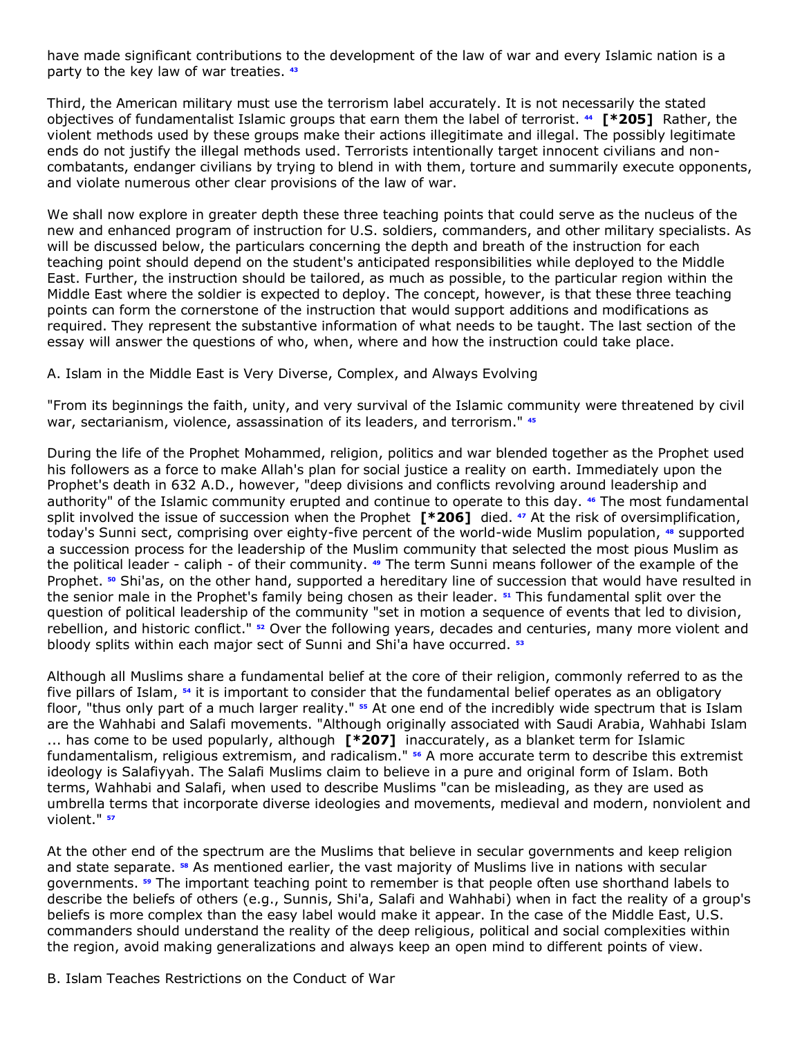have made significant contributions to the development of the law of war and every Islamic nation is a party to the key law of war treaties. **[43](http://www.lexis.com/research/retrieve?_m=47973e549231c520dbe09e2cd0971a2c&docnum=11&_fmtstr=FULL&_startdoc=1&wchp=dGLbVzz-zSkAA&_md5=0f232df1e532c2bc94176067a855cfb4&focBudTerms=&focBudSel=all#n43#n43)**

Third, the American military must use the terrorism label accurately. It is not necessarily the stated objectives of fundamentalist Islamic groups that earn them the label of terrorist. **[44](http://www.lexis.com/research/retrieve?_m=47973e549231c520dbe09e2cd0971a2c&docnum=11&_fmtstr=FULL&_startdoc=1&wchp=dGLbVzz-zSkAA&_md5=0f232df1e532c2bc94176067a855cfb4&focBudTerms=&focBudSel=all#n44#n44) [\*205]** Rather, the violent methods used by these groups make their actions illegitimate and illegal. The possibly legitimate ends do not justify the illegal methods used. Terrorists intentionally target innocent civilians and noncombatants, endanger civilians by trying to blend in with them, torture and summarily execute opponents, and violate numerous other clear provisions of the law of war.

We shall now explore in greater depth these three teaching points that could serve as the nucleus of the new and enhanced program of instruction for U.S. soldiers, commanders, and other military specialists. As will be discussed below, the particulars concerning the depth and breath of the instruction for each teaching point should depend on the student's anticipated responsibilities while deployed to the Middle East. Further, the instruction should be tailored, as much as possible, to the particular region within the Middle East where the soldier is expected to deploy. The concept, however, is that these three teaching points can form the cornerstone of the instruction that would support additions and modifications as required. They represent the substantive information of what needs to be taught. The last section of the essay will answer the questions of who, when, where and how the instruction could take place.

A. Islam in the Middle East is Very Diverse, Complex, and Always Evolving

"From its beginnings the faith, unity, and very survival of the Islamic community were threatened by civil war, sectarianism, violence, assassination of its leaders, and terrorism." **[45](http://www.lexis.com/research/retrieve?_m=47973e549231c520dbe09e2cd0971a2c&docnum=11&_fmtstr=FULL&_startdoc=1&wchp=dGLbVzz-zSkAA&_md5=0f232df1e532c2bc94176067a855cfb4&focBudTerms=&focBudSel=all#n45#n45)**

During the life of the Prophet Mohammed, religion, politics and war blended together as the Prophet used his followers as a force to make Allah's plan for social justice a reality on earth. Immediately upon the Prophet's death in 632 A.D., however, "deep divisions and conflicts revolving around leadership and authority" of the Islamic community erupted and continue to operate to this day. **[46](http://www.lexis.com/research/retrieve?_m=47973e549231c520dbe09e2cd0971a2c&docnum=11&_fmtstr=FULL&_startdoc=1&wchp=dGLbVzz-zSkAA&_md5=0f232df1e532c2bc94176067a855cfb4&focBudTerms=&focBudSel=all#n46#n46)** The most fundamental split involved the issue of succession when the Prophet **[\*206]** died. **[47](http://www.lexis.com/research/retrieve?_m=47973e549231c520dbe09e2cd0971a2c&docnum=11&_fmtstr=FULL&_startdoc=1&wchp=dGLbVzz-zSkAA&_md5=0f232df1e532c2bc94176067a855cfb4&focBudTerms=&focBudSel=all#n47#n47)** At the risk of oversimplification, today's Sunni sect, comprising over eighty-five percent of the world-wide Muslim population, **[48](http://www.lexis.com/research/retrieve?_m=47973e549231c520dbe09e2cd0971a2c&docnum=11&_fmtstr=FULL&_startdoc=1&wchp=dGLbVzz-zSkAA&_md5=0f232df1e532c2bc94176067a855cfb4&focBudTerms=&focBudSel=all#n48#n48)** supported a succession process for the leadership of the Muslim community that selected the most pious Muslim as the political leader - caliph - of their community. **[49](http://www.lexis.com/research/retrieve?_m=47973e549231c520dbe09e2cd0971a2c&docnum=11&_fmtstr=FULL&_startdoc=1&wchp=dGLbVzz-zSkAA&_md5=0f232df1e532c2bc94176067a855cfb4&focBudTerms=&focBudSel=all#n49#n49)** The term Sunni means follower of the example of the Prophet. **[50](http://www.lexis.com/research/retrieve?_m=47973e549231c520dbe09e2cd0971a2c&docnum=11&_fmtstr=FULL&_startdoc=1&wchp=dGLbVzz-zSkAA&_md5=0f232df1e532c2bc94176067a855cfb4&focBudTerms=&focBudSel=all#n50#n50)** Shi'as, on the other hand, supported a hereditary line of succession that would have resulted in the senior male in the Prophet's family being chosen as their leader. **[51](http://www.lexis.com/research/retrieve?_m=47973e549231c520dbe09e2cd0971a2c&docnum=11&_fmtstr=FULL&_startdoc=1&wchp=dGLbVzz-zSkAA&_md5=0f232df1e532c2bc94176067a855cfb4&focBudTerms=&focBudSel=all#n51#n51)** This fundamental split over the question of political leadership of the community "set in motion a sequence of events that led to division, rebellion, and historic conflict." **[52](http://www.lexis.com/research/retrieve?_m=47973e549231c520dbe09e2cd0971a2c&docnum=11&_fmtstr=FULL&_startdoc=1&wchp=dGLbVzz-zSkAA&_md5=0f232df1e532c2bc94176067a855cfb4&focBudTerms=&focBudSel=all#n52#n52)** Over the following years, decades and centuries, many more violent and bloody splits within each major sect of Sunni and Shi'a have occurred. **[53](http://www.lexis.com/research/retrieve?_m=47973e549231c520dbe09e2cd0971a2c&docnum=11&_fmtstr=FULL&_startdoc=1&wchp=dGLbVzz-zSkAA&_md5=0f232df1e532c2bc94176067a855cfb4&focBudTerms=&focBudSel=all#n53#n53)**

Although all Muslims share a fundamental belief at the core of their religion, commonly referred to as the five pillars of Islam, **[54](http://www.lexis.com/research/retrieve?_m=47973e549231c520dbe09e2cd0971a2c&docnum=11&_fmtstr=FULL&_startdoc=1&wchp=dGLbVzz-zSkAA&_md5=0f232df1e532c2bc94176067a855cfb4&focBudTerms=&focBudSel=all#n54#n54)** it is important to consider that the fundamental belief operates as an obligatory floor, "thus only part of a much larger reality." **[55](http://www.lexis.com/research/retrieve?_m=47973e549231c520dbe09e2cd0971a2c&docnum=11&_fmtstr=FULL&_startdoc=1&wchp=dGLbVzz-zSkAA&_md5=0f232df1e532c2bc94176067a855cfb4&focBudTerms=&focBudSel=all#n55#n55)** At one end of the incredibly wide spectrum that is Islam are the Wahhabi and Salafi movements. "Although originally associated with Saudi Arabia, Wahhabi Islam ... has come to be used popularly, although **[\*207]** inaccurately, as a blanket term for Islamic fundamentalism, religious extremism, and radicalism." **[56](http://www.lexis.com/research/retrieve?_m=47973e549231c520dbe09e2cd0971a2c&docnum=11&_fmtstr=FULL&_startdoc=1&wchp=dGLbVzz-zSkAA&_md5=0f232df1e532c2bc94176067a855cfb4&focBudTerms=&focBudSel=all#n56#n56)** A more accurate term to describe this extremist ideology is Salafiyyah. The Salafi Muslims claim to believe in a pure and original form of Islam. Both terms, Wahhabi and Salafi, when used to describe Muslims "can be misleading, as they are used as umbrella terms that incorporate diverse ideologies and movements, medieval and modern, nonviolent and violent." **[57](http://www.lexis.com/research/retrieve?_m=47973e549231c520dbe09e2cd0971a2c&docnum=11&_fmtstr=FULL&_startdoc=1&wchp=dGLbVzz-zSkAA&_md5=0f232df1e532c2bc94176067a855cfb4&focBudTerms=&focBudSel=all#n57#n57)**

At the other end of the spectrum are the Muslims that believe in secular governments and keep religion and state separate. **[58](http://www.lexis.com/research/retrieve?_m=47973e549231c520dbe09e2cd0971a2c&docnum=11&_fmtstr=FULL&_startdoc=1&wchp=dGLbVzz-zSkAA&_md5=0f232df1e532c2bc94176067a855cfb4&focBudTerms=&focBudSel=all#n58#n58)** As mentioned earlier, the vast majority of Muslims live in nations with secular governments. **[59](http://www.lexis.com/research/retrieve?_m=47973e549231c520dbe09e2cd0971a2c&docnum=11&_fmtstr=FULL&_startdoc=1&wchp=dGLbVzz-zSkAA&_md5=0f232df1e532c2bc94176067a855cfb4&focBudTerms=&focBudSel=all#n59#n59)** The important teaching point to remember is that people often use shorthand labels to describe the beliefs of others (e.g., Sunnis, Shi'a, Salafi and Wahhabi) when in fact the reality of a group's beliefs is more complex than the easy label would make it appear. In the case of the Middle East, U.S. commanders should understand the reality of the deep religious, political and social complexities within the region, avoid making generalizations and always keep an open mind to different points of view.

B. Islam Teaches Restrictions on the Conduct of War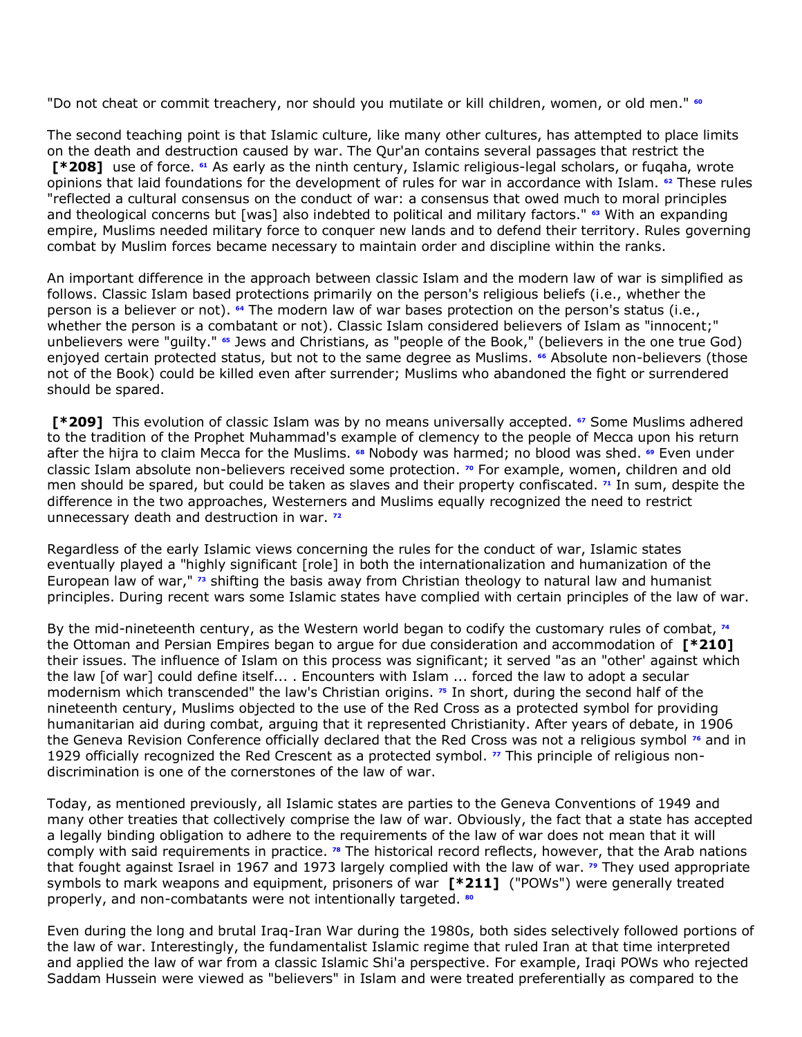"Do not cheat or commit treachery, nor should you mutilate or kill children, women, or old men." **[60](http://www.lexis.com/research/retrieve?_m=47973e549231c520dbe09e2cd0971a2c&docnum=11&_fmtstr=FULL&_startdoc=1&wchp=dGLbVzz-zSkAA&_md5=0f232df1e532c2bc94176067a855cfb4&focBudTerms=&focBudSel=all#n60#n60)**

The second teaching point is that Islamic culture, like many other cultures, has attempted to place limits on the death and destruction caused by war. The Qur'an contains several passages that restrict the **[\*208]** use of force. **[61](http://www.lexis.com/research/retrieve?_m=47973e549231c520dbe09e2cd0971a2c&docnum=11&_fmtstr=FULL&_startdoc=1&wchp=dGLbVzz-zSkAA&_md5=0f232df1e532c2bc94176067a855cfb4&focBudTerms=&focBudSel=all#n61#n61)** As early as the ninth century, Islamic religious-legal scholars, or fuqaha, wrote opinions that laid foundations for the development of rules for war in accordance with Islam. **[62](http://www.lexis.com/research/retrieve?_m=47973e549231c520dbe09e2cd0971a2c&docnum=11&_fmtstr=FULL&_startdoc=1&wchp=dGLbVzz-zSkAA&_md5=0f232df1e532c2bc94176067a855cfb4&focBudTerms=&focBudSel=all#n62#n62)** These rules "reflected a cultural consensus on the conduct of war: a consensus that owed much to moral principles and theological concerns but [was] also indebted to political and military factors." **[63](http://www.lexis.com/research/retrieve?_m=47973e549231c520dbe09e2cd0971a2c&docnum=11&_fmtstr=FULL&_startdoc=1&wchp=dGLbVzz-zSkAA&_md5=0f232df1e532c2bc94176067a855cfb4&focBudTerms=&focBudSel=all#n63#n63)** With an expanding empire, Muslims needed military force to conquer new lands and to defend their territory. Rules governing combat by Muslim forces became necessary to maintain order and discipline within the ranks.

An important difference in the approach between classic Islam and the modern law of war is simplified as follows. Classic Islam based protections primarily on the person's religious beliefs (i.e., whether the person is a believer or not). **[64](http://www.lexis.com/research/retrieve?_m=47973e549231c520dbe09e2cd0971a2c&docnum=11&_fmtstr=FULL&_startdoc=1&wchp=dGLbVzz-zSkAA&_md5=0f232df1e532c2bc94176067a855cfb4&focBudTerms=&focBudSel=all#n64#n64)** The modern law of war bases protection on the person's status (i.e., whether the person is a combatant or not). Classic Islam considered believers of Islam as "innocent;" unbelievers were "guilty." **[65](http://www.lexis.com/research/retrieve?_m=47973e549231c520dbe09e2cd0971a2c&docnum=11&_fmtstr=FULL&_startdoc=1&wchp=dGLbVzz-zSkAA&_md5=0f232df1e532c2bc94176067a855cfb4&focBudTerms=&focBudSel=all#n65#n65)** Jews and Christians, as "people of the Book," (believers in the one true God) enjoyed certain protected status, but not to the same degree as Muslims. **[66](http://www.lexis.com/research/retrieve?_m=47973e549231c520dbe09e2cd0971a2c&docnum=11&_fmtstr=FULL&_startdoc=1&wchp=dGLbVzz-zSkAA&_md5=0f232df1e532c2bc94176067a855cfb4&focBudTerms=&focBudSel=all#n66#n66)** Absolute non-believers (those not of the Book) could be killed even after surrender; Muslims who abandoned the fight or surrendered should be spared.

**[\*209]** This evolution of classic Islam was by no means universally accepted. **[67](http://www.lexis.com/research/retrieve?_m=47973e549231c520dbe09e2cd0971a2c&docnum=11&_fmtstr=FULL&_startdoc=1&wchp=dGLbVzz-zSkAA&_md5=0f232df1e532c2bc94176067a855cfb4&focBudTerms=&focBudSel=all#n67#n67)** Some Muslims adhered to the tradition of the Prophet Muhammad's example of clemency to the people of Mecca upon his return after the hijra to claim Mecca for the Muslims. **[68](http://www.lexis.com/research/retrieve?_m=47973e549231c520dbe09e2cd0971a2c&docnum=11&_fmtstr=FULL&_startdoc=1&wchp=dGLbVzz-zSkAA&_md5=0f232df1e532c2bc94176067a855cfb4&focBudTerms=&focBudSel=all#n68#n68)** Nobody was harmed; no blood was shed. **[69](http://www.lexis.com/research/retrieve?_m=47973e549231c520dbe09e2cd0971a2c&docnum=11&_fmtstr=FULL&_startdoc=1&wchp=dGLbVzz-zSkAA&_md5=0f232df1e532c2bc94176067a855cfb4&focBudTerms=&focBudSel=all#n69#n69)** Even under classic Islam absolute non-believers received some protection. **[70](http://www.lexis.com/research/retrieve?_m=47973e549231c520dbe09e2cd0971a2c&docnum=11&_fmtstr=FULL&_startdoc=1&wchp=dGLbVzz-zSkAA&_md5=0f232df1e532c2bc94176067a855cfb4&focBudTerms=&focBudSel=all#n70#n70)** For example, women, children and old men should be spared, but could be taken as slaves and their property confiscated. **[71](http://www.lexis.com/research/retrieve?_m=47973e549231c520dbe09e2cd0971a2c&docnum=11&_fmtstr=FULL&_startdoc=1&wchp=dGLbVzz-zSkAA&_md5=0f232df1e532c2bc94176067a855cfb4&focBudTerms=&focBudSel=all#n71#n71)** In sum, despite the difference in the two approaches, Westerners and Muslims equally recognized the need to restrict unnecessary death and destruction in war. **[72](http://www.lexis.com/research/retrieve?_m=47973e549231c520dbe09e2cd0971a2c&docnum=11&_fmtstr=FULL&_startdoc=1&wchp=dGLbVzz-zSkAA&_md5=0f232df1e532c2bc94176067a855cfb4&focBudTerms=&focBudSel=all#n72#n72)**

Regardless of the early Islamic views concerning the rules for the conduct of war, Islamic states eventually played a "highly significant [role] in both the internationalization and humanization of the European law of war," **[73](http://www.lexis.com/research/retrieve?_m=47973e549231c520dbe09e2cd0971a2c&docnum=11&_fmtstr=FULL&_startdoc=1&wchp=dGLbVzz-zSkAA&_md5=0f232df1e532c2bc94176067a855cfb4&focBudTerms=&focBudSel=all#n73#n73)** shifting the basis away from Christian theology to natural law and humanist principles. During recent wars some Islamic states have complied with certain principles of the law of war.

By the mid-nineteenth century, as the Western world began to codify the customary rules of combat,**<sup>74</sup>** the Ottoman and Persian Empires began to argue for due consideration and accommodation of **[\*210]** their issues. The influence of Islam on this process was significant; it served "as an "other' against which the law [of war] could define itself... . Encounters with Islam ... forced the law to adopt a secular modernism which transcended" the law's Christian origins. **[75](http://www.lexis.com/research/retrieve?_m=47973e549231c520dbe09e2cd0971a2c&docnum=11&_fmtstr=FULL&_startdoc=1&wchp=dGLbVzz-zSkAA&_md5=0f232df1e532c2bc94176067a855cfb4&focBudTerms=&focBudSel=all#n75#n75)** In short, during the second half of the nineteenth century, Muslims objected to the use of the Red Cross as a protected symbol for providing humanitarian aid during combat, arguing that it represented Christianity. After years of debate, in 1906 the Geneva Revision Conference officially declared that the Red Cross was not a religious symbol **[76](http://www.lexis.com/research/retrieve?_m=47973e549231c520dbe09e2cd0971a2c&docnum=11&_fmtstr=FULL&_startdoc=1&wchp=dGLbVzz-zSkAA&_md5=0f232df1e532c2bc94176067a855cfb4&focBudTerms=&focBudSel=all#n76#n76)** and in 1929 officially recognized the Red Crescent as a protected symbol. **[77](http://www.lexis.com/research/retrieve?_m=47973e549231c520dbe09e2cd0971a2c&docnum=11&_fmtstr=FULL&_startdoc=1&wchp=dGLbVzz-zSkAA&_md5=0f232df1e532c2bc94176067a855cfb4&focBudTerms=&focBudSel=all#n77#n77)** This principle of religious nondiscrimination is one of the cornerstones of the law of war.

Today, as mentioned previously, all Islamic states are parties to the Geneva Conventions of 1949 and many other treaties that collectively comprise the law of war. Obviously, the fact that a state has accepted a legally binding obligation to adhere to the requirements of the law of war does not mean that it will comply with said requirements in practice. **[78](http://www.lexis.com/research/retrieve?_m=47973e549231c520dbe09e2cd0971a2c&docnum=11&_fmtstr=FULL&_startdoc=1&wchp=dGLbVzz-zSkAA&_md5=0f232df1e532c2bc94176067a855cfb4&focBudTerms=&focBudSel=all#n78#n78)** The historical record reflects, however, that the Arab nations that fought against Israel in 1967 and 1973 largely complied with the law of war. **[79](http://www.lexis.com/research/retrieve?_m=47973e549231c520dbe09e2cd0971a2c&docnum=11&_fmtstr=FULL&_startdoc=1&wchp=dGLbVzz-zSkAA&_md5=0f232df1e532c2bc94176067a855cfb4&focBudTerms=&focBudSel=all#n79#n79)** They used appropriate symbols to mark weapons and equipment, prisoners of war **[\*211]** ("POWs") were generally treated properly, and non-combatants were not intentionally targeted. **[80](http://www.lexis.com/research/retrieve?_m=47973e549231c520dbe09e2cd0971a2c&docnum=11&_fmtstr=FULL&_startdoc=1&wchp=dGLbVzz-zSkAA&_md5=0f232df1e532c2bc94176067a855cfb4&focBudTerms=&focBudSel=all#n80#n80)**

Even during the long and brutal Iraq-Iran War during the 1980s, both sides selectively followed portions of the law of war. Interestingly, the fundamentalist Islamic regime that ruled Iran at that time interpreted and applied the law of war from a classic Islamic Shi'a perspective. For example, Iraqi POWs who rejected Saddam Hussein were viewed as "believers" in Islam and were treated preferentially as compared to the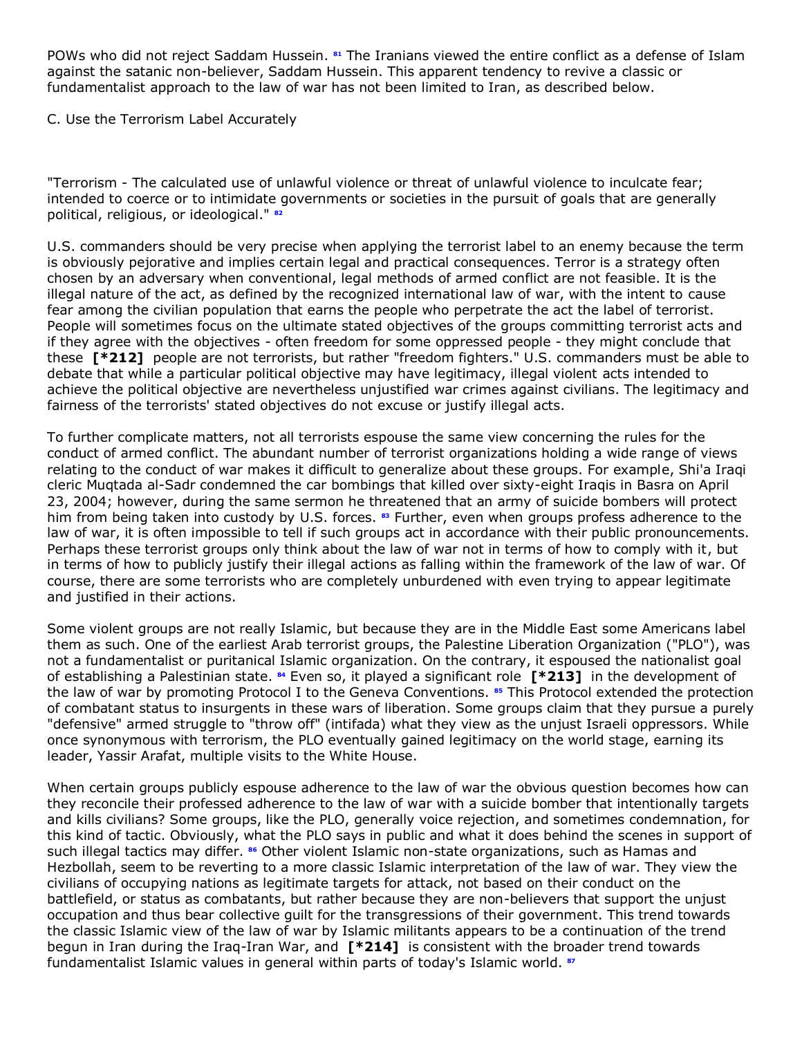POWs who did not reject Saddam Hussein. **[81](http://www.lexis.com/research/retrieve?_m=47973e549231c520dbe09e2cd0971a2c&docnum=11&_fmtstr=FULL&_startdoc=1&wchp=dGLbVzz-zSkAA&_md5=0f232df1e532c2bc94176067a855cfb4&focBudTerms=&focBudSel=all#n81#n81)** The Iranians viewed the entire conflict as a defense of Islam against the satanic non-believer, Saddam Hussein. This apparent tendency to revive a classic or fundamentalist approach to the law of war has not been limited to Iran, as described below.

C. Use the Terrorism Label Accurately

"Terrorism - The calculated use of unlawful violence or threat of unlawful violence to inculcate fear; intended to coerce or to intimidate governments or societies in the pursuit of goals that are generally political, religious, or ideological." **[82](http://www.lexis.com/research/retrieve?_m=47973e549231c520dbe09e2cd0971a2c&docnum=11&_fmtstr=FULL&_startdoc=1&wchp=dGLbVzz-zSkAA&_md5=0f232df1e532c2bc94176067a855cfb4&focBudTerms=&focBudSel=all#n82#n82)**

U.S. commanders should be very precise when applying the terrorist label to an enemy because the term is obviously pejorative and implies certain legal and practical consequences. Terror is a strategy often chosen by an adversary when conventional, legal methods of armed conflict are not feasible. It is the illegal nature of the act, as defined by the recognized international law of war, with the intent to cause fear among the civilian population that earns the people who perpetrate the act the label of terrorist. People will sometimes focus on the ultimate stated objectives of the groups committing terrorist acts and if they agree with the objectives - often freedom for some oppressed people - they might conclude that these **[\*212]** people are not terrorists, but rather "freedom fighters." U.S. commanders must be able to debate that while a particular political objective may have legitimacy, illegal violent acts intended to achieve the political objective are nevertheless unjustified war crimes against civilians. The legitimacy and fairness of the terrorists' stated objectives do not excuse or justify illegal acts.

To further complicate matters, not all terrorists espouse the same view concerning the rules for the conduct of armed conflict. The abundant number of terrorist organizations holding a wide range of views relating to the conduct of war makes it difficult to generalize about these groups. For example, Shi'a Iraqi cleric Muqtada al-Sadr condemned the car bombings that killed over sixty-eight Iraqis in Basra on April 23, 2004; however, during the same sermon he threatened that an army of suicide bombers will protect him from being taken into custody by U.S. forces. **[83](http://www.lexis.com/research/retrieve?_m=47973e549231c520dbe09e2cd0971a2c&docnum=11&_fmtstr=FULL&_startdoc=1&wchp=dGLbVzz-zSkAA&_md5=0f232df1e532c2bc94176067a855cfb4&focBudTerms=&focBudSel=all#n83#n83)** Further, even when groups profess adherence to the law of war, it is often impossible to tell if such groups act in accordance with their public pronouncements. Perhaps these terrorist groups only think about the law of war not in terms of how to comply with it, but in terms of how to publicly justify their illegal actions as falling within the framework of the law of war. Of course, there are some terrorists who are completely unburdened with even trying to appear legitimate and justified in their actions.

Some violent groups are not really Islamic, but because they are in the Middle East some Americans label them as such. One of the earliest Arab terrorist groups, the Palestine Liberation Organization ("PLO"), was not a fundamentalist or puritanical Islamic organization. On the contrary, it espoused the nationalist goal of establishing a Palestinian state. **[84](http://www.lexis.com/research/retrieve?_m=47973e549231c520dbe09e2cd0971a2c&docnum=11&_fmtstr=FULL&_startdoc=1&wchp=dGLbVzz-zSkAA&_md5=0f232df1e532c2bc94176067a855cfb4&focBudTerms=&focBudSel=all#n84#n84)** Even so, it played a significant role **[\*213]** in the development of the law of war by promoting Protocol I to the Geneva Conventions. **[85](http://www.lexis.com/research/retrieve?_m=47973e549231c520dbe09e2cd0971a2c&docnum=11&_fmtstr=FULL&_startdoc=1&wchp=dGLbVzz-zSkAA&_md5=0f232df1e532c2bc94176067a855cfb4&focBudTerms=&focBudSel=all#n85#n85)** This Protocol extended the protection of combatant status to insurgents in these wars of liberation. Some groups claim that they pursue a purely "defensive" armed struggle to "throw off" (intifada) what they view as the unjust Israeli oppressors. While once synonymous with terrorism, the PLO eventually gained legitimacy on the world stage, earning its leader, Yassir Arafat, multiple visits to the White House.

When certain groups publicly espouse adherence to the law of war the obvious question becomes how can they reconcile their professed adherence to the law of war with a suicide bomber that intentionally targets and kills civilians? Some groups, like the PLO, generally voice rejection, and sometimes condemnation, for this kind of tactic. Obviously, what the PLO says in public and what it does behind the scenes in support of such illegal tactics may differ. **[86](http://www.lexis.com/research/retrieve?_m=47973e549231c520dbe09e2cd0971a2c&docnum=11&_fmtstr=FULL&_startdoc=1&wchp=dGLbVzz-zSkAA&_md5=0f232df1e532c2bc94176067a855cfb4&focBudTerms=&focBudSel=all#n86#n86)** Other violent Islamic non-state organizations, such as Hamas and Hezbollah, seem to be reverting to a more classic Islamic interpretation of the law of war. They view the civilians of occupying nations as legitimate targets for attack, not based on their conduct on the battlefield, or status as combatants, but rather because they are non-believers that support the unjust occupation and thus bear collective guilt for the transgressions of their government. This trend towards the classic Islamic view of the law of war by Islamic militants appears to be a continuation of the trend begun in Iran during the Iraq-Iran War, and **[\*214]** is consistent with the broader trend towards fundamentalist Islamic values in general within parts of today's Islamic world. **[87](http://www.lexis.com/research/retrieve?_m=47973e549231c520dbe09e2cd0971a2c&docnum=11&_fmtstr=FULL&_startdoc=1&wchp=dGLbVzz-zSkAA&_md5=0f232df1e532c2bc94176067a855cfb4&focBudTerms=&focBudSel=all#n87#n87)**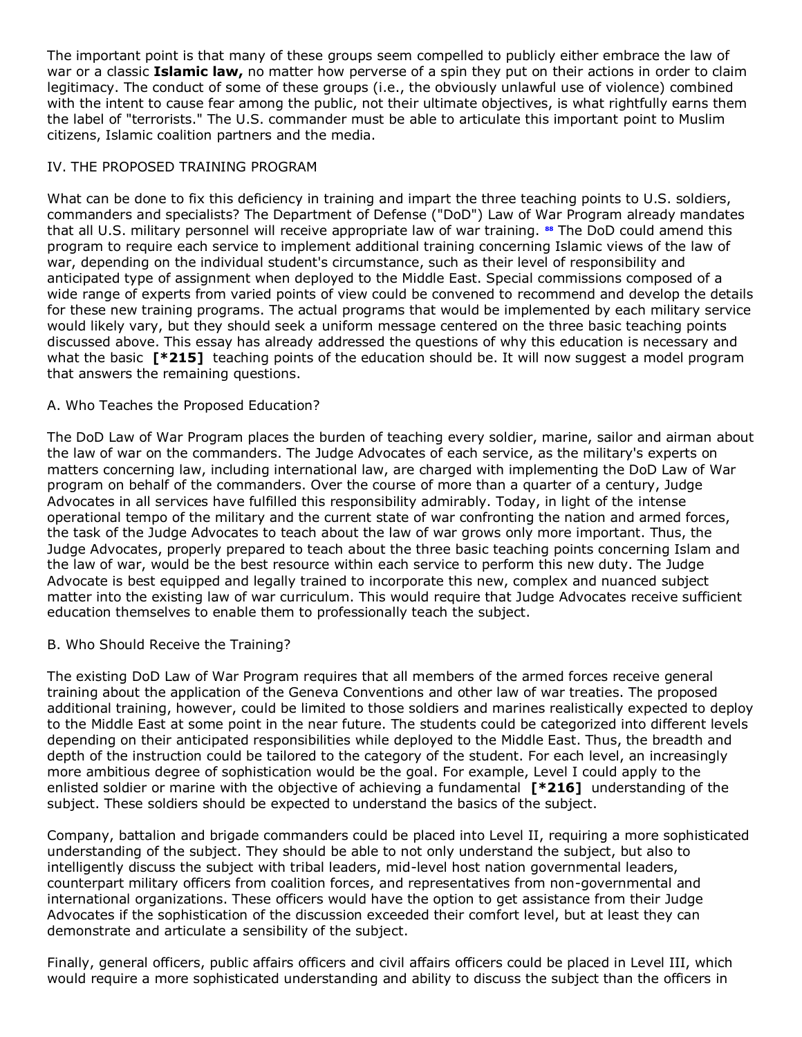The important point is that many of these groups seem compelled to publicly either embrace the law of war or a classic **Islamic law,** no matter how perverse of a spin they put on their actions in order to claim legitimacy. The conduct of some of these groups (i.e., the obviously unlawful use of violence) combined with the intent to cause fear among the public, not their ultimate objectives, is what rightfully earns them the label of "terrorists." The U.S. commander must be able to articulate this important point to Muslim citizens, Islamic coalition partners and the media.

# IV. THE PROPOSED TRAINING PROGRAM

What can be done to fix this deficiency in training and impart the three teaching points to U.S. soldiers, commanders and specialists? The Department of Defense ("DoD") Law of War Program already mandates that all U.S. military personnel will receive appropriate law of war training. **[88](http://www.lexis.com/research/retrieve?_m=47973e549231c520dbe09e2cd0971a2c&docnum=11&_fmtstr=FULL&_startdoc=1&wchp=dGLbVzz-zSkAA&_md5=0f232df1e532c2bc94176067a855cfb4&focBudTerms=&focBudSel=all#n88#n88)** The DoD could amend this program to require each service to implement additional training concerning Islamic views of the law of war, depending on the individual student's circumstance, such as their level of responsibility and anticipated type of assignment when deployed to the Middle East. Special commissions composed of a wide range of experts from varied points of view could be convened to recommend and develop the details for these new training programs. The actual programs that would be implemented by each military service would likely vary, but they should seek a uniform message centered on the three basic teaching points discussed above. This essay has already addressed the questions of why this education is necessary and what the basic **[\*215]** teaching points of the education should be. It will now suggest a model program that answers the remaining questions.

# A. Who Teaches the Proposed Education?

The DoD Law of War Program places the burden of teaching every soldier, marine, sailor and airman about the law of war on the commanders. The Judge Advocates of each service, as the military's experts on matters concerning law, including international law, are charged with implementing the DoD Law of War program on behalf of the commanders. Over the course of more than a quarter of a century, Judge Advocates in all services have fulfilled this responsibility admirably. Today, in light of the intense operational tempo of the military and the current state of war confronting the nation and armed forces, the task of the Judge Advocates to teach about the law of war grows only more important. Thus, the Judge Advocates, properly prepared to teach about the three basic teaching points concerning Islam and the law of war, would be the best resource within each service to perform this new duty. The Judge Advocate is best equipped and legally trained to incorporate this new, complex and nuanced subject matter into the existing law of war curriculum. This would require that Judge Advocates receive sufficient education themselves to enable them to professionally teach the subject.

## B. Who Should Receive the Training?

The existing DoD Law of War Program requires that all members of the armed forces receive general training about the application of the Geneva Conventions and other law of war treaties. The proposed additional training, however, could be limited to those soldiers and marines realistically expected to deploy to the Middle East at some point in the near future. The students could be categorized into different levels depending on their anticipated responsibilities while deployed to the Middle East. Thus, the breadth and depth of the instruction could be tailored to the category of the student. For each level, an increasingly more ambitious degree of sophistication would be the goal. For example, Level I could apply to the enlisted soldier or marine with the objective of achieving a fundamental **[\*216]** understanding of the subject. These soldiers should be expected to understand the basics of the subject.

Company, battalion and brigade commanders could be placed into Level II, requiring a more sophisticated understanding of the subject. They should be able to not only understand the subject, but also to intelligently discuss the subject with tribal leaders, mid-level host nation governmental leaders, counterpart military officers from coalition forces, and representatives from non-governmental and international organizations. These officers would have the option to get assistance from their Judge Advocates if the sophistication of the discussion exceeded their comfort level, but at least they can demonstrate and articulate a sensibility of the subject.

Finally, general officers, public affairs officers and civil affairs officers could be placed in Level III, which would require a more sophisticated understanding and ability to discuss the subject than the officers in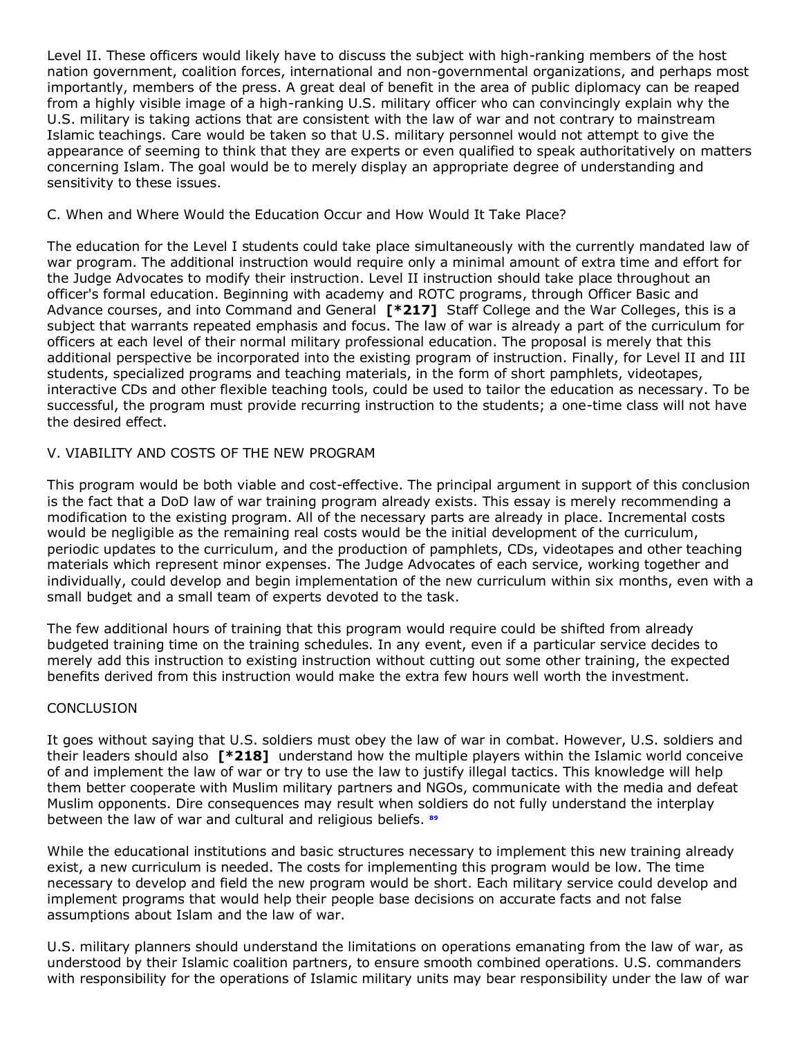Level II. These officers would likely have to discuss the subject with high-ranking members of the host nation government, coalition forces, international and non-governmental organizations, and perhaps most importantly, members of the press. A great deal of benefit in the area of public diplomacy can be reaped from a highly visible image of a high-ranking U.S. military officer who can convincingly explain why the U.S. military is taking actions that are consistent with the law of war and not contrary to mainstream Islamic teachings. Care would be taken so that U.S. military personnel would not attempt to give the appearance of seeming to think that they are experts or even qualified to speak authoritatively on matters concerning Islam. The goal would be to merely display an appropriate degree of understanding and sensitivity to these issues.

# C. When and Where Would the Education Occur and How Would It Take Place?

The education for the Level I students could take place simultaneously with the currently mandated law of war program. The additional instruction would require only a minimal amount of extra time and effort for the Judge Advocates to modify their instruction. Level II instruction should take place throughout an officer's formal education. Beginning with academy and ROTC programs, through Officer Basic and Advance courses, and into Command and General **[\*217]** Staff College and the War Colleges, this is a subject that warrants repeated emphasis and focus. The law of war is already a part of the curriculum for officers at each level of their normal military professional education. The proposal is merely that this additional perspective be incorporated into the existing program of instruction. Finally, for Level II and III students, specialized programs and teaching materials, in the form of short pamphlets, videotapes, interactive CDs and other flexible teaching tools, could be used to tailor the education as necessary. To be successful, the program must provide recurring instruction to the students; a one-time class will not have the desired effect.

# V. VIABILITY AND COSTS OF THE NEW PROGRAM

This program would be both viable and cost-effective. The principal argument in support of this conclusion is the fact that a DoD law of war training program already exists. This essay is merely recommending a modification to the existing program. All of the necessary parts are already in place. Incremental costs would be negligible as the remaining real costs would be the initial development of the curriculum, periodic updates to the curriculum, and the production of pamphlets, CDs, videotapes and other teaching materials which represent minor expenses. The Judge Advocates of each service, working together and individually, could develop and begin implementation of the new curriculum within six months, even with a small budget and a small team of experts devoted to the task.

The few additional hours of training that this program would require could be shifted from already budgeted training time on the training schedules. In any event, even if a particular service decides to merely add this instruction to existing instruction without cutting out some other training, the expected benefits derived from this instruction would make the extra few hours well worth the investment.

## **CONCLUSION**

It goes without saying that U.S. soldiers must obey the law of war in combat. However, U.S. soldiers and their leaders should also **[\*218]** understand how the multiple players within the Islamic world conceive of and implement the law of war or try to use the law to justify illegal tactics. This knowledge will help them better cooperate with Muslim military partners and NGOs, communicate with the media and defeat Muslim opponents. Dire consequences may result when soldiers do not fully understand the interplay between the law of war and cultural and religious beliefs. **[89](http://www.lexis.com/research/retrieve?_m=47973e549231c520dbe09e2cd0971a2c&docnum=11&_fmtstr=FULL&_startdoc=1&wchp=dGLbVzz-zSkAA&_md5=0f232df1e532c2bc94176067a855cfb4&focBudTerms=&focBudSel=all#n89#n89)**

While the educational institutions and basic structures necessary to implement this new training already exist, a new curriculum is needed. The costs for implementing this program would be low. The time necessary to develop and field the new program would be short. Each military service could develop and implement programs that would help their people base decisions on accurate facts and not false assumptions about Islam and the law of war.

U.S. military planners should understand the limitations on operations emanating from the law of war, as understood by their Islamic coalition partners, to ensure smooth combined operations. U.S. commanders with responsibility for the operations of Islamic military units may bear responsibility under the law of war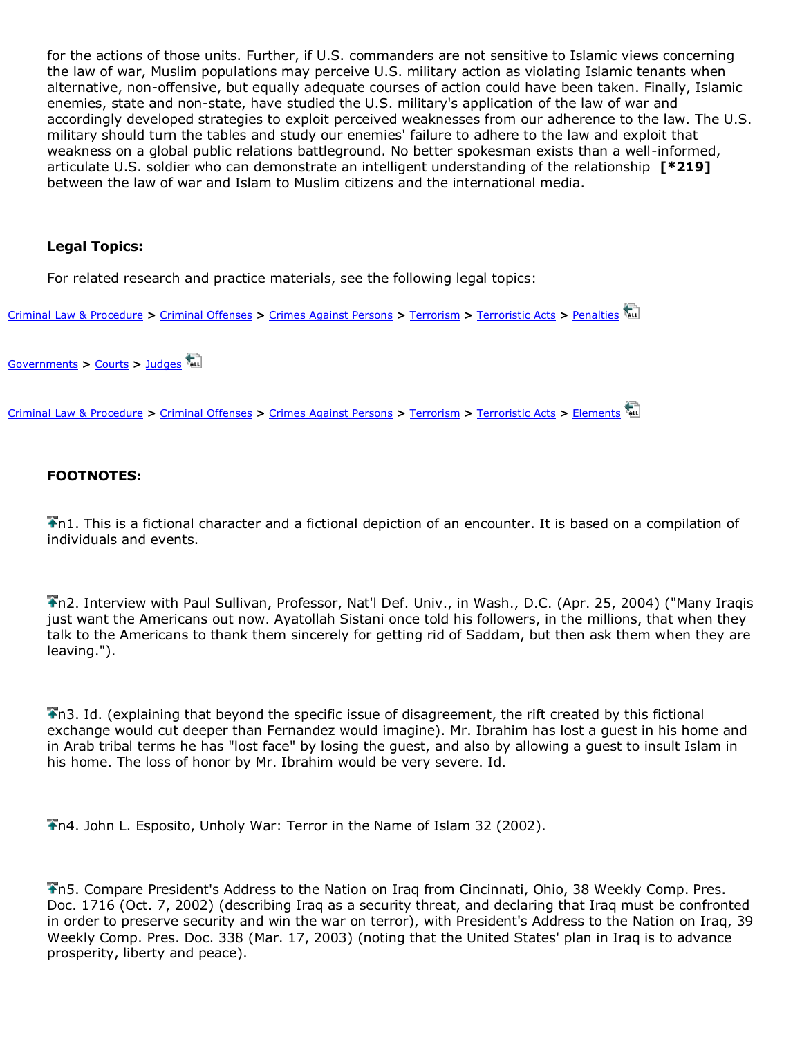for the actions of those units. Further, if U.S. commanders are not sensitive to Islamic views concerning the law of war, Muslim populations may perceive U.S. military action as violating Islamic tenants when alternative, non-offensive, but equally adequate courses of action could have been taken. Finally, Islamic enemies, state and non-state, have studied the U.S. military's application of the law of war and accordingly developed strategies to exploit perceived weaknesses from our adherence to the law. The U.S. military should turn the tables and study our enemies' failure to adhere to the law and exploit that weakness on a global public relations battleground. No better spokesman exists than a well-informed, articulate U.S. soldier who can demonstrate an intelligent understanding of the relationship **[\*219]** between the law of war and Islam to Muslim citizens and the international media.

## **Legal Topics:**

[For related research and practice materials, see the following legal topics:](http://www.lexis.com/research/buttonLink?_m=c36a201ca1eec4d2683235271b0e3723&_xfercite=%3ccite%20cc%3d%22USA%22%3e%3c%21%5bCDATA%5b21%20Am.%20U.%20Int%27l%20L.%20Rev.%20191%5d%5d%3e%3c%2fcite%3e&_butType=1&_butStat=0&_butNum=115&_butInline=1&_butinfo=%3dWEBSSA%2000017575&_fmtstr=FULL&docnum=11&_startdoc=1&wchp=dGLbVzz-zSkAA&_md5=3d7a84533b74f18fc843f48ccb614d49)

[Criminal Law & Procedure](http://www.lexis.com/research/buttonLink?_m=c36a201ca1eec4d2683235271b0e3723&_xfercite=%3ccite%20cc%3d%22USA%22%3e%3c%21%5bCDATA%5b21%20Am.%20U.%20Int%27l%20L.%20Rev.%20191%5d%5d%3e%3c%2fcite%3e&_butType=1&_butStat=0&_butNum=115&_butInline=1&_butinfo=%3dWEBSSA%2000017575&_fmtstr=FULL&docnum=11&_startdoc=1&wchp=dGLbVzz-zSkAA&_md5=3d7a84533b74f18fc843f48ccb614d49) **>** [Criminal Offenses](http://w3.lexis.com/research2/lt/topics/tocdisplay.do?_m=e3b79cda5d14eea222f567470ccda0ea&sub=00000821&satocOpen=00000821%2c00012411&_fmtstr=FULL&docnum=11&_startdoc=1&wchp=dGLbVzz-zSkAA&_md5=9d04b25662e1ebddc06bd0dc917a4731) **>** [Crimes Against Persons](http://w3.lexis.com/research2/lt/topics/tocdisplay.do?_m=e3b79cda5d14eea222f567470ccda0ea&sub=00000821&satocOpen=00000821%2c00012411%2c00015853&_fmtstr=FULL&docnum=11&_startdoc=1&wchp=dGLbVzz-zSkAA&_md5=9d04b25662e1ebddc06bd0dc917a4731) **>** [Terrorism](http://w3.lexis.com/research2/lt/topics/tocdisplay.do?_m=e3b79cda5d14eea222f567470ccda0ea&sub=00000821&satocOpen=00000821%2c00012411%2c00015853%2c00021286&_fmtstr=FULL&docnum=11&_startdoc=1&wchp=dGLbVzz-zSkAA&_md5=9d04b25662e1ebddc06bd0dc917a4731) **>** [Terroristic Acts](http://w3.lexis.com/research2/lt/topics/tocdisplay.do?_m=e3b79cda5d14eea222f567470ccda0ea&sub=00000821&satocOpen=00000821%2c00012411%2c00015853%2c00021286%2c00017533&_fmtstr=FULL&docnum=11&_startdoc=1&wchp=dGLbVzz-zSkAA&_md5=9d04b25662e1ebddc06bd0dc917a4731) **>** [Penalties](http://w3.lexis.com/research2/lt/topics/tocdisplay.do?_m=e3b79cda5d14eea222f567470ccda0ea&sub=00000821&satocOpen=00000821%2c00012411%2c00015853%2c00021286%2c00017533%2c00017533&_fmtstr=FULL&docnum=11&_startdoc=1&wchp=dGLbVzz-zSkAA&_md5=9d04b25662e1ebddc06bd0dc917a4731)

[Governments](http://www.lexis.com/research/buttonLink?_m=c36a201ca1eec4d2683235271b0e3723&_xfercite=%3ccite%20cc%3d%22USA%22%3e%3c%21%5bCDATA%5b21%20Am.%20U.%20Int%27l%20L.%20Rev.%20191%5d%5d%3e%3c%2fcite%3e&_butType=1&_butStat=0&_butNum=116&_butInline=1&_butinfo=%3dWEBSSA%2000004147&_fmtstr=FULL&docnum=11&_startdoc=1&wchp=dGLbVzz-zSkAA&_md5=8addc2764427b3d05ab2e18220e8a605) **>** [Courts](http://w3.lexis.com/research2/lt/topics/tocdisplay.do?_m=e3b79cda5d14eea222f567470ccda0ea&sub=00003978&satocOpen=00003978%2c00021104&_fmtstr=FULL&docnum=11&_startdoc=1&wchp=dGLbVzz-zSkAA&_md5=9d04b25662e1ebddc06bd0dc917a4731) **>** [Judges](http://w3.lexis.com/research2/lt/topics/tocdisplay.do?_m=e3b79cda5d14eea222f567470ccda0ea&sub=00003978&satocOpen=00003978%2c00021104%2c00021104&_fmtstr=FULL&docnum=11&_startdoc=1&wchp=dGLbVzz-zSkAA&_md5=9d04b25662e1ebddc06bd0dc917a4731)

[Criminal Law & Procedure](http://www.lexis.com/research/buttonLink?_m=c36a201ca1eec4d2683235271b0e3723&_xfercite=%3ccite%20cc%3d%22USA%22%3e%3c%21%5bCDATA%5b21%20Am.%20U.%20Int%27l%20L.%20Rev.%20191%5d%5d%3e%3c%2fcite%3e&_butType=1&_butStat=0&_butNum=117&_butInline=1&_butinfo=%3dWEBSSA%2000017576&_fmtstr=FULL&docnum=11&_startdoc=1&wchp=dGLbVzz-zSkAA&_md5=bc8c396fba3bdeed20f1354d9e293d51) **>** [Criminal Offenses](http://w3.lexis.com/research2/lt/topics/tocdisplay.do?_m=e3b79cda5d14eea222f567470ccda0ea&sub=00000821&satocOpen=00000821%2c00012411&_fmtstr=FULL&docnum=11&_startdoc=1&wchp=dGLbVzz-zSkAA&_md5=9d04b25662e1ebddc06bd0dc917a4731) **>** [Crimes Against Persons](http://w3.lexis.com/research2/lt/topics/tocdisplay.do?_m=e3b79cda5d14eea222f567470ccda0ea&sub=00000821&satocOpen=00000821%2c00012411%2c00015853&_fmtstr=FULL&docnum=11&_startdoc=1&wchp=dGLbVzz-zSkAA&_md5=9d04b25662e1ebddc06bd0dc917a4731) **>** [Terrorism](http://w3.lexis.com/research2/lt/topics/tocdisplay.do?_m=e3b79cda5d14eea222f567470ccda0ea&sub=00000821&satocOpen=00000821%2c00012411%2c00015853%2c00021286&_fmtstr=FULL&docnum=11&_startdoc=1&wchp=dGLbVzz-zSkAA&_md5=9d04b25662e1ebddc06bd0dc917a4731) **>** [Terroristic Acts](http://w3.lexis.com/research2/lt/topics/tocdisplay.do?_m=e3b79cda5d14eea222f567470ccda0ea&sub=00000821&satocOpen=00000821%2c00012411%2c00015853%2c00021286%2c00017533&_fmtstr=FULL&docnum=11&_startdoc=1&wchp=dGLbVzz-zSkAA&_md5=9d04b25662e1ebddc06bd0dc917a4731) **>** [Elements](http://w3.lexis.com/research2/lt/topics/tocdisplay.do?_m=e3b79cda5d14eea222f567470ccda0ea&sub=00000821&satocOpen=00000821%2c00012411%2c00015853%2c00021286%2c00017533%2c00017533&_fmtstr=FULL&docnum=11&_startdoc=1&wchp=dGLbVzz-zSkAA&_md5=9d04b25662e1ebddc06bd0dc917a4731)

# **FOOTNOTES:**

n1. This is a fictional character and a fictional depiction of an encounter. It is based on a compilation of individuals and events.

n2. Interview with Paul Sullivan, Professor, Nat'l Def. Univ., in Wash., D.C. (Apr. 25, 2004) ("Many Iraqis just want the Americans out now. Ayatollah Sistani once told his followers, in the millions, that when they talk to the Americans to thank them sincerely for getting rid of Saddam, but then ask them when they are leaving.").

n3. Id. (explaining that beyond the specific issue of disagreement, the rift created by this fictional exchange would cut deeper than Fernandez would imagine). Mr. Ibrahim has lost a guest in his home and in Arab tribal terms he has "lost face" by losing the guest, and also by allowing a guest to insult Islam in his home. The loss of honor by Mr. Ibrahim would be very severe. Id.

n4. John L. Esposito, Unholy War: Terror in the Name of Islam 32 (2002).

n5. Compare President's Address to the Nation on Iraq from Cincinnati, Ohio, 38 Weekly Comp. Pres. Doc. 1716 (Oct. 7, 2002) (describing Iraq as a security threat, and declaring that Iraq must be confronted in order to preserve security and win the war on terror), with President's Address to the Nation on Iraq, 39 Weekly Comp. Pres. Doc. 338 (Mar. 17, 2003) (noting that the United States' plan in Iraq is to advance prosperity, liberty and peace).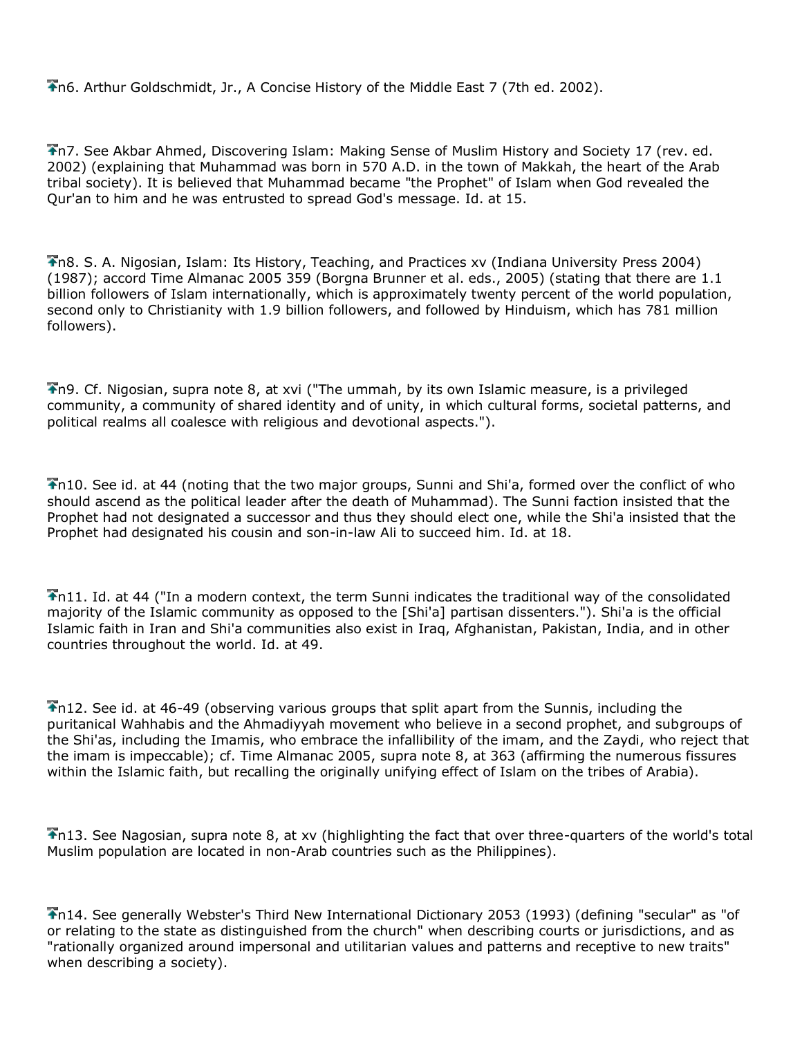n6. Arthur Goldschmidt, Jr., A Concise History of the Middle East 7 (7th ed. 2002).

n7. See Akbar Ahmed, Discovering Islam: Making Sense of Muslim History and Society 17 (rev. ed. 2002) (explaining that Muhammad was born in 570 A.D. in the town of Makkah, the heart of the Arab tribal society). It is believed that Muhammad became "the Prophet" of Islam when God revealed the Qur'an to him and he was entrusted to spread God's message. Id. at 15.

n8. S. A. Nigosian, Islam: Its History, Teaching, and Practices xv (Indiana University Press 2004) (1987); accord Time Almanac 2005 359 (Borgna Brunner et al. eds., 2005) (stating that there are 1.1 billion followers of Islam internationally, which is approximately twenty percent of the world population, second only to Christianity with 1.9 billion followers, and followed by Hinduism, which has 781 million followers).

n9. Cf. Nigosian, supra note 8, at xvi ("The ummah, by its own Islamic measure, is a privileged community, a community of shared identity and of unity, in which cultural forms, societal patterns, and political realms all coalesce with religious and devotional aspects.").

n10. See id. at 44 (noting that the two major groups, Sunni and Shi'a, formed over the conflict of who should ascend as the political leader after the death of Muhammad). The Sunni faction insisted that the Prophet had not designated a successor and thus they should elect one, while the Shi'a insisted that the Prophet had designated his cousin and son-in-law Ali to succeed him. Id. at 18.

n11. Id. at 44 ("In a modern context, the term Sunni indicates the traditional way of the consolidated majority of the Islamic community as opposed to the [Shi'a] partisan dissenters."). Shi'a is the official Islamic faith in Iran and Shi'a communities also exist in Iraq, Afghanistan, Pakistan, India, and in other countries throughout the world. Id. at 49.

n12. See id. at 46-49 (observing various groups that split apart from the Sunnis, including the puritanical Wahhabis and the Ahmadiyyah movement who believe in a second prophet, and subgroups of the Shi'as, including the Imamis, who embrace the infallibility of the imam, and the Zaydi, who reject that the imam is impeccable); cf. Time Almanac 2005, supra note 8, at 363 (affirming the numerous fissures within the Islamic faith, but recalling the originally unifying effect of Islam on the tribes of Arabia).

 $\bigtriangledown$ n13. See Nagosian, supra note 8, at xv (highlighting the fact that over three-quarters of the world's total Muslim population are located in non-Arab countries such as the Philippines).

n14. See generally Webster's Third New International Dictionary 2053 (1993) (defining "secular" as "of or relating to the state as distinguished from the church" when describing courts or jurisdictions, and as "rationally organized around impersonal and utilitarian values and patterns and receptive to new traits" when describing a society).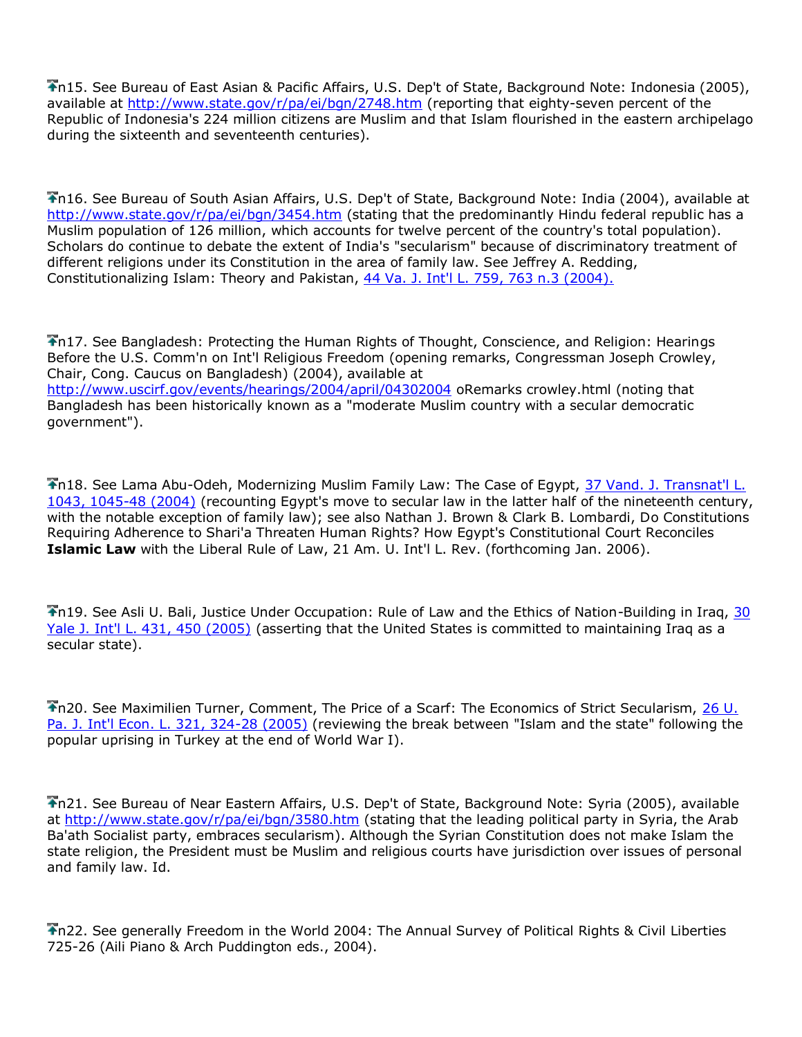n15. See Bureau of East Asian & Pacific Affairs, U.S. Dep't of State, Background Note: Indonesia (2005), available at<http://www.state.gov/r/pa/ei/bgn/2748.htm> (reporting that eighty-seven percent of the Republic of Indonesia's 224 million citizens are Muslim and that Islam flourished in the eastern archipelago during the sixteenth and seventeenth centuries).

n16. See Bureau of South Asian Affairs, U.S. Dep't of State, Background Note: India (2004), available at <http://www.state.gov/r/pa/ei/bgn/3454.htm> (stating that the predominantly Hindu federal republic has a Muslim population of 126 million, which accounts for twelve percent of the country's total population). Scholars do continue to debate the extent of India's "secularism" because of discriminatory treatment of different religions under its Constitution in the area of family law. See Jeffrey A. Redding, Constitutionalizing Islam: Theory and Pakistan, [44 Va. J. Int'l L. 759, 763 n.3 \(2004\).](http://www.lexis.com/research/buttonTFLink?_m=c36a201ca1eec4d2683235271b0e3723&_xfercite=%3ccite%20cc%3d%22USA%22%3e%3c%21%5bCDATA%5b21%20Am.%20U.%20Int%27l%20L.%20Rev.%20191%5d%5d%3e%3c%2fcite%3e&_butType=3&_butStat=2&_butNum=91&_butInline=1&_butinfo=%3ccite%20cc%3d%22USA%22%3e%3c%21%5bCDATA%5b44%20Va.%20J.%20Int%27l%20L.%20759%2cat%20763%5d%5d%3e%3c%2fcite%3e&_fmtstr=FULL&docnum=11&_startdoc=1&wchp=dGLbVzz-zSkAA&_md5=7da7ece95de39f67a8a853d97be62472)

n17. See Bangladesh: Protecting the Human Rights of Thought, Conscience, and Religion: Hearings Before the U.S. Comm'n on Int'l Religious Freedom (opening remarks, Congressman Joseph Crowley, Chair, Cong. Caucus on Bangladesh) (2004), available at <http://www.uscirf.gov/events/hearings/2004/april/04302004> oRemarks crowley.html (noting that Bangladesh has been historically known as a "moderate Muslim country with a secular democratic government").

n18. See Lama Abu-Odeh, Modernizing Muslim Family Law: The Case of Egypt, [37 Vand. J. Transnat'l L.](http://www.lexis.com/research/buttonTFLink?_m=c36a201ca1eec4d2683235271b0e3723&_xfercite=%3ccite%20cc%3d%22USA%22%3e%3c%21%5bCDATA%5b21%20Am.%20U.%20Int%27l%20L.%20Rev.%20191%5d%5d%3e%3c%2fcite%3e&_butType=3&_butStat=2&_butNum=92&_butInline=1&_butinfo=%3ccite%20cc%3d%22USA%22%3e%3c%21%5bCDATA%5b37%20Vand.%20J.%20Transnat%27l%20L.%201043%2cat%201045%5d%5d%3e%3c%2fcite%3e&_fmtstr=FULL&docnum=11&_startdoc=1&wchp=dGLbVzz-zSkAA&_md5=19bed33d900dd0c25c0f7d731c8878cc)  [1043, 1045-48 \(2004\)](http://www.lexis.com/research/buttonTFLink?_m=c36a201ca1eec4d2683235271b0e3723&_xfercite=%3ccite%20cc%3d%22USA%22%3e%3c%21%5bCDATA%5b21%20Am.%20U.%20Int%27l%20L.%20Rev.%20191%5d%5d%3e%3c%2fcite%3e&_butType=3&_butStat=2&_butNum=92&_butInline=1&_butinfo=%3ccite%20cc%3d%22USA%22%3e%3c%21%5bCDATA%5b37%20Vand.%20J.%20Transnat%27l%20L.%201043%2cat%201045%5d%5d%3e%3c%2fcite%3e&_fmtstr=FULL&docnum=11&_startdoc=1&wchp=dGLbVzz-zSkAA&_md5=19bed33d900dd0c25c0f7d731c8878cc) (recounting Egypt's move to secular law in the latter half of the nineteenth century, with the notable exception of family law); see also Nathan J. Brown & Clark B. Lombardi, Do Constitutions Requiring Adherence to Shari'a Threaten Human Rights? How Egypt's Constitutional Court Reconciles **Islamic Law** with the Liberal Rule of Law, 21 Am. U. Int'l L. Rev. (forthcoming Jan. 2006).

n19. See Asli U. Bali, Justice Under Occupation: Rule of Law and the Ethics of Nation-Building in Iraq, [30](http://www.lexis.com/research/buttonTFLink?_m=c36a201ca1eec4d2683235271b0e3723&_xfercite=%3ccite%20cc%3d%22USA%22%3e%3c%21%5bCDATA%5b21%20Am.%20U.%20Int%27l%20L.%20Rev.%20191%5d%5d%3e%3c%2fcite%3e&_butType=3&_butStat=2&_butNum=93&_butInline=1&_butinfo=%3ccite%20cc%3d%22USA%22%3e%3c%21%5bCDATA%5b30%20Yale%20J.%20Int%27l%20L.%20431%2cat%20450%5d%5d%3e%3c%2fcite%3e&_fmtstr=FULL&docnum=11&_startdoc=1&wchp=dGLbVzz-zSkAA&_md5=babe49e86601547862b1b6479fae3dc7)  [Yale J. Int'l L. 431, 450 \(2005\)](http://www.lexis.com/research/buttonTFLink?_m=c36a201ca1eec4d2683235271b0e3723&_xfercite=%3ccite%20cc%3d%22USA%22%3e%3c%21%5bCDATA%5b21%20Am.%20U.%20Int%27l%20L.%20Rev.%20191%5d%5d%3e%3c%2fcite%3e&_butType=3&_butStat=2&_butNum=93&_butInline=1&_butinfo=%3ccite%20cc%3d%22USA%22%3e%3c%21%5bCDATA%5b30%20Yale%20J.%20Int%27l%20L.%20431%2cat%20450%5d%5d%3e%3c%2fcite%3e&_fmtstr=FULL&docnum=11&_startdoc=1&wchp=dGLbVzz-zSkAA&_md5=babe49e86601547862b1b6479fae3dc7) (asserting that the United States is committed to maintaining Iraq as a secular state).

n20. See Maximilien Turner, Comment, The Price of a Scarf: The Economics of Strict Secularism, [26 U.](http://www.lexis.com/research/buttonTFLink?_m=c36a201ca1eec4d2683235271b0e3723&_xfercite=%3ccite%20cc%3d%22USA%22%3e%3c%21%5bCDATA%5b21%20Am.%20U.%20Int%27l%20L.%20Rev.%20191%5d%5d%3e%3c%2fcite%3e&_butType=3&_butStat=2&_butNum=94&_butInline=1&_butinfo=%3ccite%20cc%3d%22USA%22%3e%3c%21%5bCDATA%5b26%20U.%20Pa.%20J.%20Int%27l%20Econ.%20L.%20321%2cat%20324%5d%5d%3e%3c%2fcite%3e&_fmtstr=FULL&docnum=11&_startdoc=1&wchp=dGLbVzz-zSkAA&_md5=fb1c360469c054378ff725a904eee524)  [Pa. J. Int'l Econ. L. 321, 324-28 \(2005\)](http://www.lexis.com/research/buttonTFLink?_m=c36a201ca1eec4d2683235271b0e3723&_xfercite=%3ccite%20cc%3d%22USA%22%3e%3c%21%5bCDATA%5b21%20Am.%20U.%20Int%27l%20L.%20Rev.%20191%5d%5d%3e%3c%2fcite%3e&_butType=3&_butStat=2&_butNum=94&_butInline=1&_butinfo=%3ccite%20cc%3d%22USA%22%3e%3c%21%5bCDATA%5b26%20U.%20Pa.%20J.%20Int%27l%20Econ.%20L.%20321%2cat%20324%5d%5d%3e%3c%2fcite%3e&_fmtstr=FULL&docnum=11&_startdoc=1&wchp=dGLbVzz-zSkAA&_md5=fb1c360469c054378ff725a904eee524) (reviewing the break between "Islam and the state" following the popular uprising in Turkey at the end of World War I).

n21. See Bureau of Near Eastern Affairs, U.S. Dep't of State, Background Note: Syria (2005), available at<http://www.state.gov/r/pa/ei/bgn/3580.htm> (stating that the leading political party in Syria, the Arab Ba'ath Socialist party, embraces secularism). Although the Syrian Constitution does not make Islam the state religion, the President must be Muslim and religious courts have jurisdiction over issues of personal and family law. Id.

n22. See generally Freedom in the World 2004: The Annual Survey of Political Rights & Civil Liberties 725-26 (Aili Piano & Arch Puddington eds., 2004).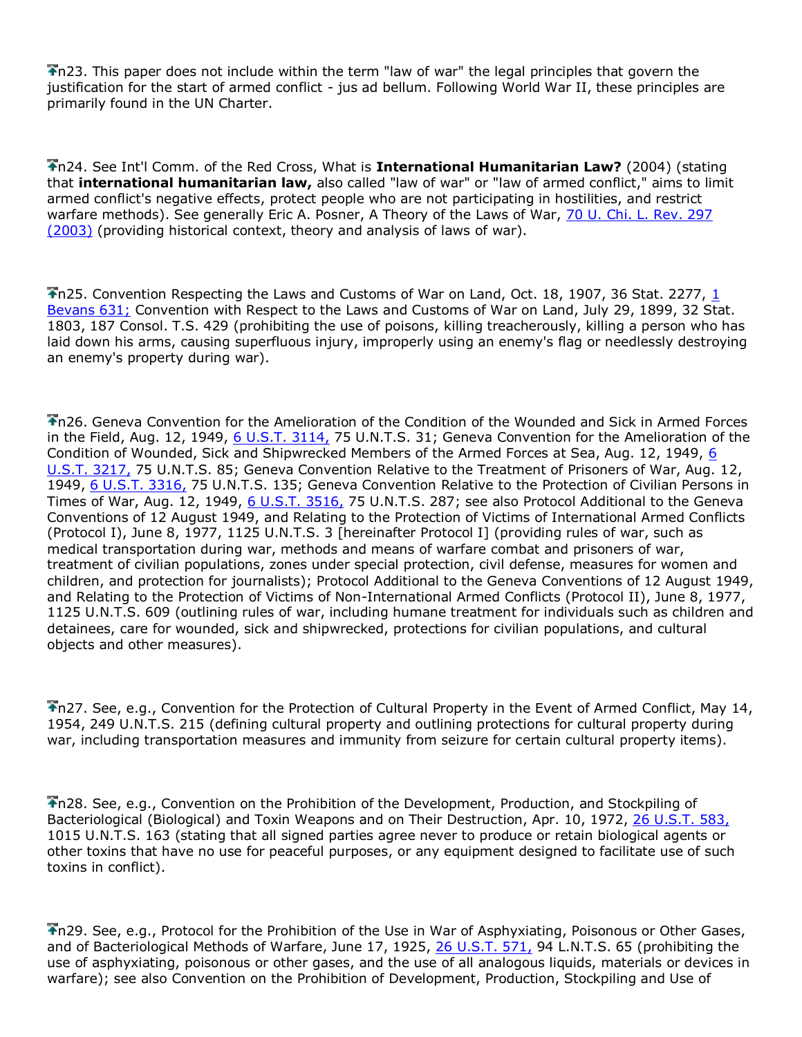Th23. This paper does not include within the term "law of war" the legal principles that govern the justification for the start of armed conflict - jus ad bellum. Following World War II, these principles are primarily found in the UN Charter.

n24. See Int'l Comm. of the Red Cross, What is **International Humanitarian Law?** (2004) (stating that **international humanitarian law,** also called "law of war" or "law of armed conflict," aims to limit armed conflict's negative effects, protect people who are not participating in hostilities, and restrict warfare methods). See generally Eric A. Posner, A Theory of the Laws of War, [70 U. Chi. L. Rev. 297](http://www.lexis.com/research/buttonTFLink?_m=c36a201ca1eec4d2683235271b0e3723&_xfercite=%3ccite%20cc%3d%22USA%22%3e%3c%21%5bCDATA%5b21%20Am.%20U.%20Int%27l%20L.%20Rev.%20191%5d%5d%3e%3c%2fcite%3e&_butType=3&_butStat=2&_butNum=95&_butInline=1&_butinfo=%3ccite%20cc%3d%22USA%22%3e%3c%21%5bCDATA%5b70%20U.%20Chi.%20L.%20Rev.%20297%5d%5d%3e%3c%2fcite%3e&_fmtstr=FULL&docnum=11&_startdoc=1&wchp=dGLbVzz-zSkAA&_md5=5a4c301ad4087763ad9350bc22ffcaba)  [\(2003\)](http://www.lexis.com/research/buttonTFLink?_m=c36a201ca1eec4d2683235271b0e3723&_xfercite=%3ccite%20cc%3d%22USA%22%3e%3c%21%5bCDATA%5b21%20Am.%20U.%20Int%27l%20L.%20Rev.%20191%5d%5d%3e%3c%2fcite%3e&_butType=3&_butStat=2&_butNum=95&_butInline=1&_butinfo=%3ccite%20cc%3d%22USA%22%3e%3c%21%5bCDATA%5b70%20U.%20Chi.%20L.%20Rev.%20297%5d%5d%3e%3c%2fcite%3e&_fmtstr=FULL&docnum=11&_startdoc=1&wchp=dGLbVzz-zSkAA&_md5=5a4c301ad4087763ad9350bc22ffcaba) (providing historical context, theory and analysis of laws of war).

The State Convention Respecting the Laws and Customs of War on Land, Oct. 18, 1907, 36 Stat. 2277, 1 [Bevans 631;](http://www.lexis.com/research/buttonTFLink?_m=c36a201ca1eec4d2683235271b0e3723&_xfercite=%3ccite%20cc%3d%22USA%22%3e%3c%21%5bCDATA%5b21%20Am.%20U.%20Int%27l%20L.%20Rev.%20191%5d%5d%3e%3c%2fcite%3e&_butType=3&_butStat=2&_butNum=96&_butInline=1&_butinfo=%3ccite%20cc%3d%22USA%22%3e%3c%21%5bCDATA%5b1%20Bevans%20631%5d%5d%3e%3c%2fcite%3e&_fmtstr=FULL&docnum=11&_startdoc=1&wchp=dGLbVzz-zSkAA&_md5=975b57982f3d95f20193a97f6585495f) Convention with Respect to the Laws and Customs of War on Land, July 29, 1899, 32 Stat. 1803, 187 Consol. T.S. 429 (prohibiting the use of poisons, killing treacherously, killing a person who has laid down his arms, causing superfluous injury, improperly using an enemy's flag or needlessly destroying an enemy's property during war).

n26. Geneva Convention for the Amelioration of the Condition of the Wounded and Sick in Armed Forces in the Field, Aug. 12, 1949, [6 U.S.T. 3114,](http://www.lexis.com/research/buttonTFLink?_m=c36a201ca1eec4d2683235271b0e3723&_xfercite=%3ccite%20cc%3d%22USA%22%3e%3c%21%5bCDATA%5b21%20Am.%20U.%20Int%27l%20L.%20Rev.%20191%5d%5d%3e%3c%2fcite%3e&_butType=3&_butStat=2&_butNum=97&_butInline=1&_butinfo=%3ccite%20cc%3d%22USA%22%3e%3c%21%5bCDATA%5b6%20U.S.T.%203114%5d%5d%3e%3c%2fcite%3e&_fmtstr=FULL&docnum=11&_startdoc=1&wchp=dGLbVzz-zSkAA&_md5=ce3f3b40a7cc460675a6f2f340ab2182) 75 U.N.T.S. 31; Geneva Convention for the Amelioration of the Condition of Wounded, Sick and Shipwrecked Members of the Armed Forces at Sea, Aug. 12, 1949, [6](http://www.lexis.com/research/buttonTFLink?_m=c36a201ca1eec4d2683235271b0e3723&_xfercite=%3ccite%20cc%3d%22USA%22%3e%3c%21%5bCDATA%5b21%20Am.%20U.%20Int%27l%20L.%20Rev.%20191%5d%5d%3e%3c%2fcite%3e&_butType=3&_butStat=2&_butNum=98&_butInline=1&_butinfo=%3ccite%20cc%3d%22USA%22%3e%3c%21%5bCDATA%5b6%20U.S.T.%203217%5d%5d%3e%3c%2fcite%3e&_fmtstr=FULL&docnum=11&_startdoc=1&wchp=dGLbVzz-zSkAA&_md5=104470dd55485ad6b5e9a85676e0ffb4)  [U.S.T. 3217,](http://www.lexis.com/research/buttonTFLink?_m=c36a201ca1eec4d2683235271b0e3723&_xfercite=%3ccite%20cc%3d%22USA%22%3e%3c%21%5bCDATA%5b21%20Am.%20U.%20Int%27l%20L.%20Rev.%20191%5d%5d%3e%3c%2fcite%3e&_butType=3&_butStat=2&_butNum=98&_butInline=1&_butinfo=%3ccite%20cc%3d%22USA%22%3e%3c%21%5bCDATA%5b6%20U.S.T.%203217%5d%5d%3e%3c%2fcite%3e&_fmtstr=FULL&docnum=11&_startdoc=1&wchp=dGLbVzz-zSkAA&_md5=104470dd55485ad6b5e9a85676e0ffb4) 75 U.N.T.S. 85; Geneva Convention Relative to the Treatment of Prisoners of War, Aug. 12, 1949, [6 U.S.T. 3316,](http://www.lexis.com/research/buttonTFLink?_m=c36a201ca1eec4d2683235271b0e3723&_xfercite=%3ccite%20cc%3d%22USA%22%3e%3c%21%5bCDATA%5b21%20Am.%20U.%20Int%27l%20L.%20Rev.%20191%5d%5d%3e%3c%2fcite%3e&_butType=3&_butStat=2&_butNum=99&_butInline=1&_butinfo=%3ccite%20cc%3d%22USA%22%3e%3c%21%5bCDATA%5b6%20U.S.T.%203316%5d%5d%3e%3c%2fcite%3e&_fmtstr=FULL&docnum=11&_startdoc=1&wchp=dGLbVzz-zSkAA&_md5=d4e40fa3e95336d75537102c76d53d81) 75 U.N.T.S. 135; Geneva Convention Relative to the Protection of Civilian Persons in Times of War, Aug. 12, 1949, [6 U.S.T. 3516,](http://www.lexis.com/research/buttonTFLink?_m=c36a201ca1eec4d2683235271b0e3723&_xfercite=%3ccite%20cc%3d%22USA%22%3e%3c%21%5bCDATA%5b21%20Am.%20U.%20Int%27l%20L.%20Rev.%20191%5d%5d%3e%3c%2fcite%3e&_butType=3&_butStat=2&_butNum=100&_butInline=1&_butinfo=%3ccite%20cc%3d%22USA%22%3e%3c%21%5bCDATA%5b6%20U.S.T.%203516%5d%5d%3e%3c%2fcite%3e&_fmtstr=FULL&docnum=11&_startdoc=1&wchp=dGLbVzz-zSkAA&_md5=ca7446728168bbb48cd0574116f0da87) 75 U.N.T.S. 287; see also Protocol Additional to the Geneva Conventions of 12 August 1949, and Relating to the Protection of Victims of International Armed Conflicts (Protocol I), June 8, 1977, 1125 U.N.T.S. 3 [hereinafter Protocol I] (providing rules of war, such as medical transportation during war, methods and means of warfare combat and prisoners of war, treatment of civilian populations, zones under special protection, civil defense, measures for women and children, and protection for journalists); Protocol Additional to the Geneva Conventions of 12 August 1949, and Relating to the Protection of Victims of Non-International Armed Conflicts (Protocol II), June 8, 1977, 1125 U.N.T.S. 609 (outlining rules of war, including humane treatment for individuals such as children and detainees, care for wounded, sick and shipwrecked, protections for civilian populations, and cultural objects and other measures).

n27. See, e.g., Convention for the Protection of Cultural Property in the Event of Armed Conflict, May 14, 1954, 249 U.N.T.S. 215 (defining cultural property and outlining protections for cultural property during war, including transportation measures and immunity from seizure for certain cultural property items).

n28. See, e.g., Convention on the Prohibition of the Development, Production, and Stockpiling of Bacteriological (Biological) and Toxin Weapons and on Their Destruction, Apr. 10, 1972, [26 U.S.T. 583,](http://www.lexis.com/research/buttonTFLink?_m=c36a201ca1eec4d2683235271b0e3723&_xfercite=%3ccite%20cc%3d%22USA%22%3e%3c%21%5bCDATA%5b21%20Am.%20U.%20Int%27l%20L.%20Rev.%20191%5d%5d%3e%3c%2fcite%3e&_butType=3&_butStat=2&_butNum=101&_butInline=1&_butinfo=%3ccite%20cc%3d%22USA%22%3e%3c%21%5bCDATA%5b26%20U.S.T.%20583%5d%5d%3e%3c%2fcite%3e&_fmtstr=FULL&docnum=11&_startdoc=1&wchp=dGLbVzz-zSkAA&_md5=26586c7119308b4cd3feb8b22a387831) 1015 U.N.T.S. 163 (stating that all signed parties agree never to produce or retain biological agents or other toxins that have no use for peaceful purposes, or any equipment designed to facilitate use of such toxins in conflict).

n29. See, e.g., Protocol for the Prohibition of the Use in War of Asphyxiating, Poisonous or Other Gases, and of Bacteriological Methods of Warfare, June 17, 1925, [26 U.S.T. 571,](http://www.lexis.com/research/buttonTFLink?_m=c36a201ca1eec4d2683235271b0e3723&_xfercite=%3ccite%20cc%3d%22USA%22%3e%3c%21%5bCDATA%5b21%20Am.%20U.%20Int%27l%20L.%20Rev.%20191%5d%5d%3e%3c%2fcite%3e&_butType=3&_butStat=2&_butNum=102&_butInline=1&_butinfo=%3ccite%20cc%3d%22USA%22%3e%3c%21%5bCDATA%5b26%20U.S.T.%20571%5d%5d%3e%3c%2fcite%3e&_fmtstr=FULL&docnum=11&_startdoc=1&wchp=dGLbVzz-zSkAA&_md5=04ac7e7c4c4b7b986c5d5a8d62181b88) 94 L.N.T.S. 65 (prohibiting the use of asphyxiating, poisonous or other gases, and the use of all analogous liquids, materials or devices in warfare); see also Convention on the Prohibition of Development, Production, Stockpiling and Use of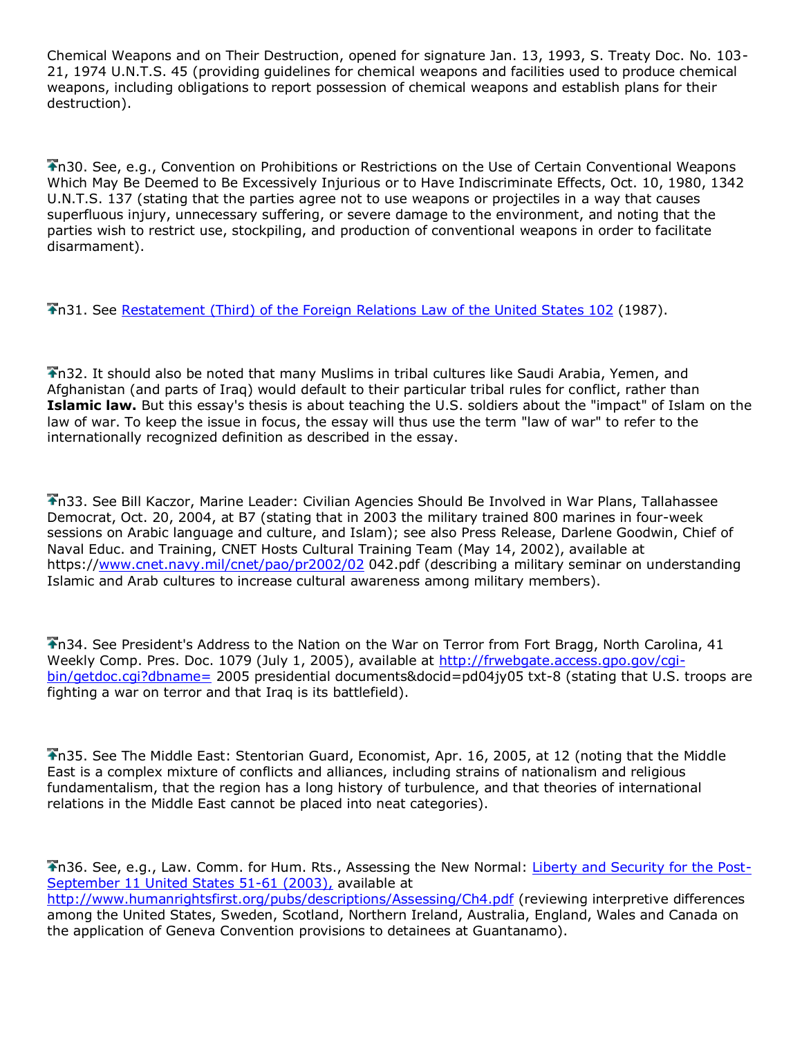Chemical Weapons and on Their Destruction, opened for signature Jan. 13, 1993, S. Treaty Doc. No. 103- 21, 1974 U.N.T.S. 45 (providing guidelines for chemical weapons and facilities used to produce chemical weapons, including obligations to report possession of chemical weapons and establish plans for their destruction).

n30. See, e.g., Convention on Prohibitions or Restrictions on the Use of Certain Conventional Weapons Which May Be Deemed to Be Excessively Injurious or to Have Indiscriminate Effects, Oct. 10, 1980, 1342 U.N.T.S. 137 (stating that the parties agree not to use weapons or projectiles in a way that causes superfluous injury, unnecessary suffering, or severe damage to the environment, and noting that the parties wish to restrict use, stockpiling, and production of conventional weapons in order to facilitate disarmament).

n31. See [Restatement \(Third\) of the Foreign Relations Law of the United States 102](http://www.lexis.com/research/buttonTFLink?_m=c36a201ca1eec4d2683235271b0e3723&_xfercite=%3ccite%20cc%3d%22USA%22%3e%3c%21%5bCDATA%5b21%20Am.%20U.%20Int%27l%20L.%20Rev.%20191%5d%5d%3e%3c%2fcite%3e&_butType=4&_butStat=0&_butNum=103&_butInline=1&_butinfo=RESTAT%20FOREIGN%20REL%20THIRD%20102&_fmtstr=FULL&docnum=11&_startdoc=1&wchp=dGLbVzz-zSkAA&_md5=5e52c0d9844a7723256ae890d8861a30) (1987).

n32. It should also be noted that many Muslims in tribal cultures like Saudi Arabia, Yemen, and Afghanistan (and parts of Iraq) would default to their particular tribal rules for conflict, rather than **Islamic law.** But this essay's thesis is about teaching the U.S. soldiers about the "impact" of Islam on the law of war. To keep the issue in focus, the essay will thus use the term "law of war" to refer to the internationally recognized definition as described in the essay.

n33. See Bill Kaczor, Marine Leader: Civilian Agencies Should Be Involved in War Plans, Tallahassee Democrat, Oct. 20, 2004, at B7 (stating that in 2003 the military trained 800 marines in four-week sessions on Arabic language and culture, and Islam); see also Press Release, Darlene Goodwin, Chief of Naval Educ. and Training, CNET Hosts Cultural Training Team (May 14, 2002), available at https:/[/www.cnet.navy.mil/cnet/pao/pr2002/02](http://www.cnet.navy.mil/cnet/pao/pr2002/02) 042.pdf (describing a military seminar on understanding Islamic and Arab cultures to increase cultural awareness among military members).

n34. See President's Address to the Nation on the War on Terror from Fort Bragg, North Carolina, 41 Weekly Comp. Pres. Doc. 1079 (July 1, 2005), available at [http://frwebgate.access.gpo.gov/cgi](http://frwebgate.access.gpo.gov/cgi-bin/getdoc.cgi?dbname=)[bin/getdoc.cgi?dbname=](http://frwebgate.access.gpo.gov/cgi-bin/getdoc.cgi?dbname=) 2005 presidential documents&docid=pd04jy05 txt-8 (stating that U.S. troops are fighting a war on terror and that Iraq is its battlefield).

n35. See The Middle East: Stentorian Guard, Economist, Apr. 16, 2005, at 12 (noting that the Middle East is a complex mixture of conflicts and alliances, including strains of nationalism and religious fundamentalism, that the region has a long history of turbulence, and that theories of international relations in the Middle East cannot be placed into neat categories).

n36. See, e.g., Law. Comm. for Hum. Rts., Assessing the New Normal: [Liberty and Security for the Post-](http://www.lexis.com/research/buttonTFLink?_m=c36a201ca1eec4d2683235271b0e3723&_xfercite=%3ccite%20cc%3d%22USA%22%3e%3c%21%5bCDATA%5b21%20Am.%20U.%20Int%27l%20L.%20Rev.%20191%5d%5d%3e%3c%2fcite%3e&_butType=3&_butStat=2&_butNum=104&_butInline=1&_butinfo=%3ccite%20cc%3d%22USA%22%3e%3c%21%5bCDATA%5b11%20U.S.%2051%5d%5d%3e%3c%2fcite%3e&_fmtstr=FULL&docnum=11&_startdoc=1&wchp=dGLbVzz-zSkAA&_md5=d32275b0ab38123f82205d9411b4d440)[September 11 United States 51-61 \(2003\),](http://www.lexis.com/research/buttonTFLink?_m=c36a201ca1eec4d2683235271b0e3723&_xfercite=%3ccite%20cc%3d%22USA%22%3e%3c%21%5bCDATA%5b21%20Am.%20U.%20Int%27l%20L.%20Rev.%20191%5d%5d%3e%3c%2fcite%3e&_butType=3&_butStat=2&_butNum=104&_butInline=1&_butinfo=%3ccite%20cc%3d%22USA%22%3e%3c%21%5bCDATA%5b11%20U.S.%2051%5d%5d%3e%3c%2fcite%3e&_fmtstr=FULL&docnum=11&_startdoc=1&wchp=dGLbVzz-zSkAA&_md5=d32275b0ab38123f82205d9411b4d440) available at <http://www.humanrightsfirst.org/pubs/descriptions/Assessing/Ch4.pdf> (reviewing interpretive differences among the United States, Sweden, Scotland, Northern Ireland, Australia, England, Wales and Canada on the application of Geneva Convention provisions to detainees at Guantanamo).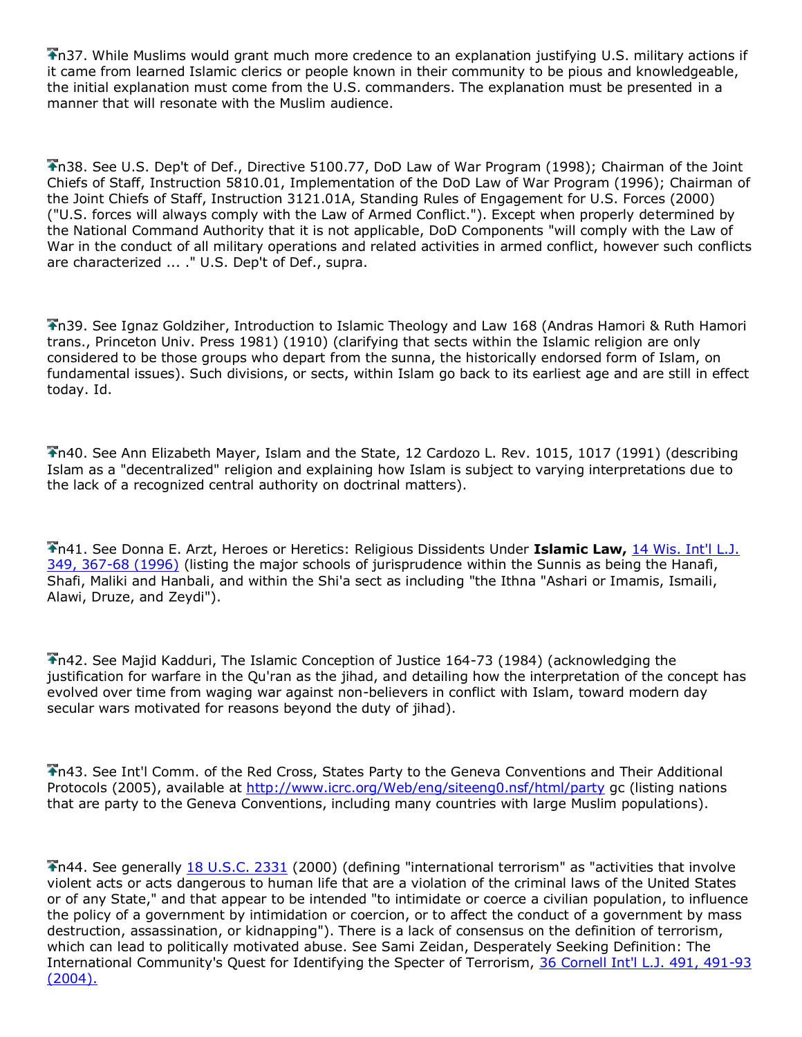n37. While Muslims would grant much more credence to an explanation justifying U.S. military actions if it came from learned Islamic clerics or people known in their community to be pious and knowledgeable, the initial explanation must come from the U.S. commanders. The explanation must be presented in a manner that will resonate with the Muslim audience.

n38. See U.S. Dep't of Def., Directive 5100.77, DoD Law of War Program (1998); Chairman of the Joint Chiefs of Staff, Instruction 5810.01, Implementation of the DoD Law of War Program (1996); Chairman of the Joint Chiefs of Staff, Instruction 3121.01A, Standing Rules of Engagement for U.S. Forces (2000) ("U.S. forces will always comply with the Law of Armed Conflict."). Except when properly determined by the National Command Authority that it is not applicable, DoD Components "will comply with the Law of War in the conduct of all military operations and related activities in armed conflict, however such conflicts are characterized ... ." U.S. Dep't of Def., supra.

n39. See Ignaz Goldziher, Introduction to Islamic Theology and Law 168 (Andras Hamori & Ruth Hamori trans., Princeton Univ. Press 1981) (1910) (clarifying that sects within the Islamic religion are only considered to be those groups who depart from the sunna, the historically endorsed form of Islam, on fundamental issues). Such divisions, or sects, within Islam go back to its earliest age and are still in effect today. Id.

n40. See Ann Elizabeth Mayer, Islam and the State, 12 Cardozo L. Rev. 1015, 1017 (1991) (describing Islam as a "decentralized" religion and explaining how Islam is subject to varying interpretations due to the lack of a recognized central authority on doctrinal matters).

n41. See Donna E. Arzt, Heroes or Heretics: Religious Dissidents Under **Islamic Law,** [14 Wis. Int'l L.J.](http://www.lexis.com/research/buttonTFLink?_m=c36a201ca1eec4d2683235271b0e3723&_xfercite=%3ccite%20cc%3d%22USA%22%3e%3c%21%5bCDATA%5b21%20Am.%20U.%20Int%27l%20L.%20Rev.%20191%5d%5d%3e%3c%2fcite%3e&_butType=3&_butStat=2&_butNum=106&_butInline=1&_butinfo=%3ccite%20cc%3d%22USA%22%3e%3c%21%5bCDATA%5b14%20Wis.%20Int%27l%20L.J.%20349%2cat%20367%5d%5d%3e%3c%2fcite%3e&_fmtstr=FULL&docnum=11&_startdoc=1&wchp=dGLbVzz-zSkAA&_md5=fd6018b2c01c6dc5148dbfc2a5325a2a)  [349, 367-68 \(1996\)](http://www.lexis.com/research/buttonTFLink?_m=c36a201ca1eec4d2683235271b0e3723&_xfercite=%3ccite%20cc%3d%22USA%22%3e%3c%21%5bCDATA%5b21%20Am.%20U.%20Int%27l%20L.%20Rev.%20191%5d%5d%3e%3c%2fcite%3e&_butType=3&_butStat=2&_butNum=106&_butInline=1&_butinfo=%3ccite%20cc%3d%22USA%22%3e%3c%21%5bCDATA%5b14%20Wis.%20Int%27l%20L.J.%20349%2cat%20367%5d%5d%3e%3c%2fcite%3e&_fmtstr=FULL&docnum=11&_startdoc=1&wchp=dGLbVzz-zSkAA&_md5=fd6018b2c01c6dc5148dbfc2a5325a2a) (listing the major schools of jurisprudence within the Sunnis as being the Hanafi, Shafi, Maliki and Hanbali, and within the Shi'a sect as including "the Ithna "Ashari or Imamis, Ismaili, Alawi, Druze, and Zeydi").

n42. See Majid Kadduri, The Islamic Conception of Justice 164-73 (1984) (acknowledging the justification for warfare in the Qu'ran as the jihad, and detailing how the interpretation of the concept has evolved over time from waging war against non-believers in conflict with Islam, toward modern day secular wars motivated for reasons beyond the duty of jihad).

n43. See Int'l Comm. of the Red Cross, States Party to the Geneva Conventions and Their Additional Protocols (2005), available at<http://www.icrc.org/Web/eng/siteeng0.nsf/html/party> gc (listing nations that are party to the Geneva Conventions, including many countries with large Muslim populations).

n44. See generally [18 U.S.C. 2331](http://www.lexis.com/research/buttonTFLink?_m=c36a201ca1eec4d2683235271b0e3723&_xfercite=%3ccite%20cc%3d%22USA%22%3e%3c%21%5bCDATA%5b21%20Am.%20U.%20Int%27l%20L.%20Rev.%20191%5d%5d%3e%3c%2fcite%3e&_butType=4&_butStat=0&_butNum=107&_butInline=1&_butinfo=18%20USC%202331&_fmtstr=FULL&docnum=11&_startdoc=1&wchp=dGLbVzz-zSkAA&_md5=5a1036c0b3ed47b5a5769935aac3594b) (2000) (defining "international terrorism" as "activities that involve violent acts or acts dangerous to human life that are a violation of the criminal laws of the United States or of any State," and that appear to be intended "to intimidate or coerce a civilian population, to influence the policy of a government by intimidation or coercion, or to affect the conduct of a government by mass destruction, assassination, or kidnapping"). There is a lack of consensus on the definition of terrorism, which can lead to politically motivated abuse. See Sami Zeidan, Desperately Seeking Definition: The International Community's Quest for Identifying the Specter of Terrorism, [36 Cornell Int'l L.J. 491, 491-93](http://www.lexis.com/research/buttonTFLink?_m=c36a201ca1eec4d2683235271b0e3723&_xfercite=%3ccite%20cc%3d%22USA%22%3e%3c%21%5bCDATA%5b21%20Am.%20U.%20Int%27l%20L.%20Rev.%20191%5d%5d%3e%3c%2fcite%3e&_butType=3&_butStat=2&_butNum=108&_butInline=1&_butinfo=%3ccite%20cc%3d%22USA%22%3e%3c%21%5bCDATA%5b36%20Cornell%20Int%27l%20L.J.%20491%5d%5d%3e%3c%2fcite%3e&_fmtstr=FULL&docnum=11&_startdoc=1&wchp=dGLbVzz-zSkAA&_md5=41867f5f9641d678b28a15fc5128c058)   $(2004).$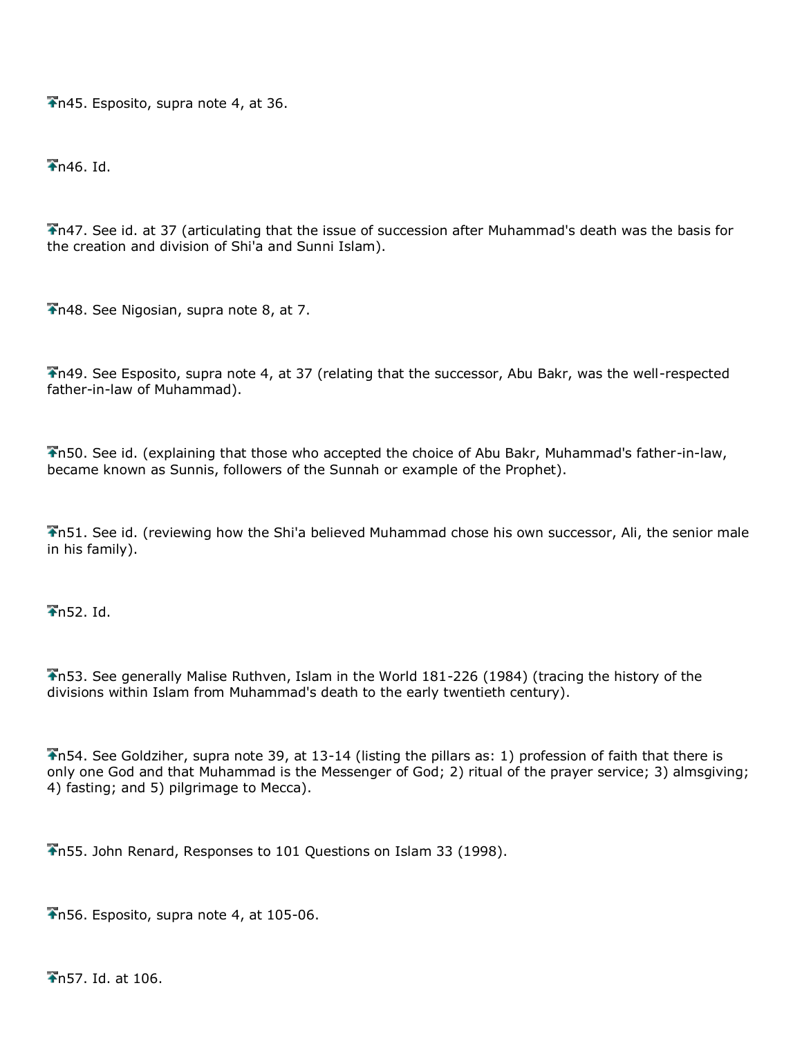$\overline{\bullet}$ n45. Esposito, supra note 4, at 36.

 $\overline{4}$ n46. Id.

n47. See id. at 37 (articulating that the issue of succession after Muhammad's death was the basis for the creation and division of Shi'a and Sunni Islam).

n48. See Nigosian, supra note 8, at 7.

n49. See Esposito, supra note 4, at 37 (relating that the successor, Abu Bakr, was the well-respected father-in-law of Muhammad).

n50. See id. (explaining that those who accepted the choice of Abu Bakr, Muhammad's father-in-law, became known as Sunnis, followers of the Sunnah or example of the Prophet).

n51. See id. (reviewing how the Shi'a believed Muhammad chose his own successor, Ali, the senior male in his family).

 $\overline{\text{In}}$ 52. Id.

n53. See generally Malise Ruthven, Islam in the World 181-226 (1984) (tracing the history of the divisions within Islam from Muhammad's death to the early twentieth century).

n54. See Goldziher, supra note 39, at 13-14 (listing the pillars as: 1) profession of faith that there is only one God and that Muhammad is the Messenger of God; 2) ritual of the prayer service; 3) almsgiving; 4) fasting; and 5) pilgrimage to Mecca).

n55. John Renard, Responses to 101 Questions on Islam 33 (1998).

n56. Esposito, supra note 4, at 105-06.

n57. Id. at 106.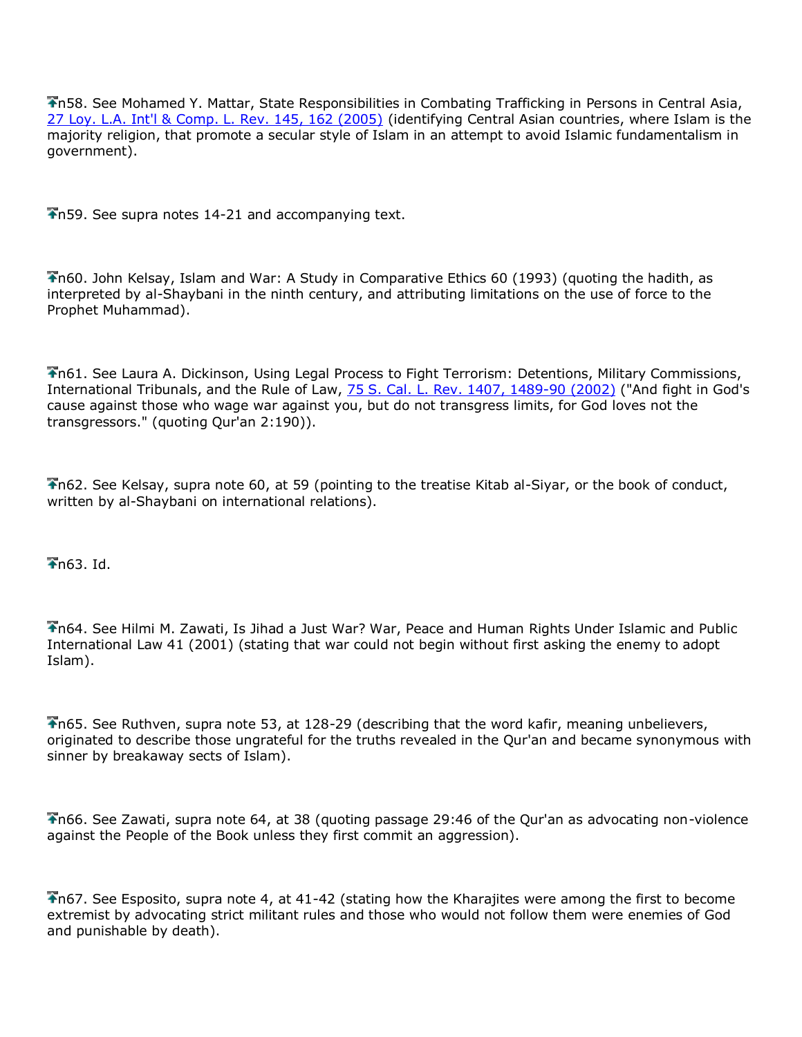n58. See Mohamed Y. Mattar, State Responsibilities in Combating Trafficking in Persons in Central Asia, [27 Loy. L.A. Int'l & Comp. L. Rev. 145, 162 \(2005\)](http://www.lexis.com/research/buttonTFLink?_m=c36a201ca1eec4d2683235271b0e3723&_xfercite=%3ccite%20cc%3d%22USA%22%3e%3c%21%5bCDATA%5b21%20Am.%20U.%20Int%27l%20L.%20Rev.%20191%5d%5d%3e%3c%2fcite%3e&_butType=3&_butStat=2&_butNum=109&_butInline=1&_butinfo=%3ccite%20cc%3d%22USA%22%3e%3c%21%5bCDATA%5b27%20Loy.%20L.A.%20Int%27l%20%26%20Comp.%20L.%20Rev.%20145%2cat%20162%5d%5d%3e%3c%2fcite%3e&_fmtstr=FULL&docnum=11&_startdoc=1&wchp=dGLbVzz-zSkAA&_md5=d9d1664bd8cf4db47addd73f1d3f85fd) (identifying Central Asian countries, where Islam is the majority religion, that promote a secular style of Islam in an attempt to avoid Islamic fundamentalism in government).

n59. See supra notes 14-21 and accompanying text.

n60. John Kelsay, Islam and War: A Study in Comparative Ethics 60 (1993) (quoting the hadith, as interpreted by al-Shaybani in the ninth century, and attributing limitations on the use of force to the Prophet Muhammad).

n61. See Laura A. Dickinson, Using Legal Process to Fight Terrorism: Detentions, Military Commissions, International Tribunals, and the Rule of Law, [75 S. Cal. L. Rev. 1407, 1489-90 \(2002\)](http://www.lexis.com/research/buttonTFLink?_m=c36a201ca1eec4d2683235271b0e3723&_xfercite=%3ccite%20cc%3d%22USA%22%3e%3c%21%5bCDATA%5b21%20Am.%20U.%20Int%27l%20L.%20Rev.%20191%5d%5d%3e%3c%2fcite%3e&_butType=3&_butStat=2&_butNum=110&_butInline=1&_butinfo=%3ccite%20cc%3d%22USA%22%3e%3c%21%5bCDATA%5b75%20S.%20Cal.%20L.%20Rev.%201407%2cat%201489%5d%5d%3e%3c%2fcite%3e&_fmtstr=FULL&docnum=11&_startdoc=1&wchp=dGLbVzz-zSkAA&_md5=5abc0740df1f1007415859da150a4e43) ("And fight in God's cause against those who wage war against you, but do not transgress limits, for God loves not the transgressors." (quoting Qur'an 2:190)).

n62. See Kelsay, supra note 60, at 59 (pointing to the treatise Kitab al-Siyar, or the book of conduct, written by al-Shaybani on international relations).

 $\overline{\bullet}$ n63. Id.

n64. See Hilmi M. Zawati, Is Jihad a Just War? War, Peace and Human Rights Under Islamic and Public International Law 41 (2001) (stating that war could not begin without first asking the enemy to adopt Islam).

n65. See Ruthven, supra note 53, at 128-29 (describing that the word kafir, meaning unbelievers, originated to describe those ungrateful for the truths revealed in the Qur'an and became synonymous with sinner by breakaway sects of Islam).

n66. See Zawati, supra note 64, at 38 (quoting passage 29:46 of the Qur'an as advocating non-violence against the People of the Book unless they first commit an aggression).

n67. See Esposito, supra note 4, at 41-42 (stating how the Kharajites were among the first to become extremist by advocating strict militant rules and those who would not follow them were enemies of God and punishable by death).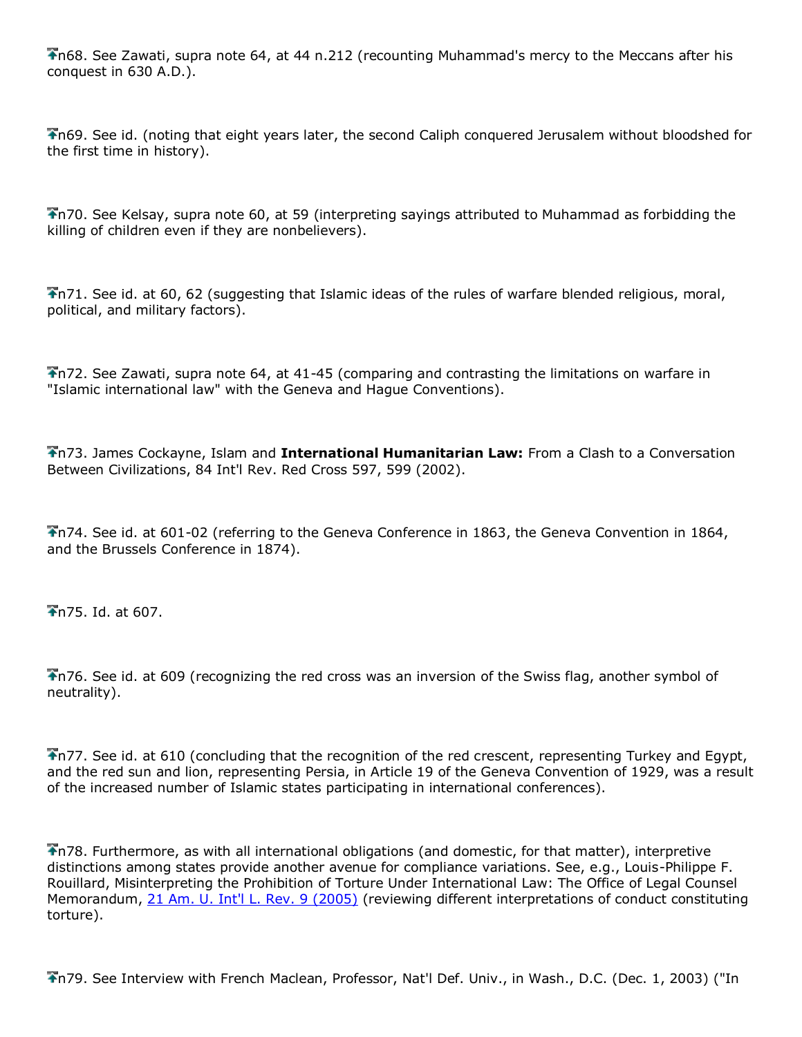$\bigtriangledown$ n68. See Zawati, supra note 64, at 44 n.212 (recounting Muhammad's mercy to the Meccans after his conquest in 630 A.D.).

n69. See id. (noting that eight years later, the second Caliph conquered Jerusalem without bloodshed for the first time in history).

n70. See Kelsay, supra note 60, at 59 (interpreting sayings attributed to Muhammad as forbidding the killing of children even if they are nonbelievers).

n71. See id. at 60, 62 (suggesting that Islamic ideas of the rules of warfare blended religious, moral, political, and military factors).

n72. See Zawati, supra note 64, at 41-45 (comparing and contrasting the limitations on warfare in "Islamic international law" with the Geneva and Hague Conventions).

n73. James Cockayne, Islam and **International Humanitarian Law:** From a Clash to a Conversation Between Civilizations, 84 Int'l Rev. Red Cross 597, 599 (2002).

n74. See id. at 601-02 (referring to the Geneva Conference in 1863, the Geneva Convention in 1864, and the Brussels Conference in 1874).

n75. Id. at 607.

n76. See id. at 609 (recognizing the red cross was an inversion of the Swiss flag, another symbol of neutrality).

n77. See id. at 610 (concluding that the recognition of the red crescent, representing Turkey and Egypt, and the red sun and lion, representing Persia, in Article 19 of the Geneva Convention of 1929, was a result of the increased number of Islamic states participating in international conferences).

n78. Furthermore, as with all international obligations (and domestic, for that matter), interpretive distinctions among states provide another avenue for compliance variations. See, e.g., Louis-Philippe F. Rouillard, Misinterpreting the Prohibition of Torture Under International Law: The Office of Legal Counsel Memorandum, [21 Am. U. Int'l L. Rev. 9 \(2005\)](http://www.lexis.com/research/buttonTFLink?_m=c36a201ca1eec4d2683235271b0e3723&_xfercite=%3ccite%20cc%3d%22USA%22%3e%3c%21%5bCDATA%5b21%20Am.%20U.%20Int%27l%20L.%20Rev.%20191%5d%5d%3e%3c%2fcite%3e&_butType=3&_butStat=2&_butNum=111&_butInline=1&_butinfo=%3ccite%20cc%3d%22USA%22%3e%3c%21%5bCDATA%5b21%20Am.%20U.%20Int%27l%20L.%20Rev.%209%5d%5d%3e%3c%2fcite%3e&_fmtstr=FULL&docnum=11&_startdoc=1&wchp=dGLbVzz-zSkAA&_md5=aa4e6752115136b6e9519b3e82d9174d) (reviewing different interpretations of conduct constituting torture).

n79. See Interview with French Maclean, Professor, Nat'l Def. Univ., in Wash., D.C. (Dec. 1, 2003) ("In